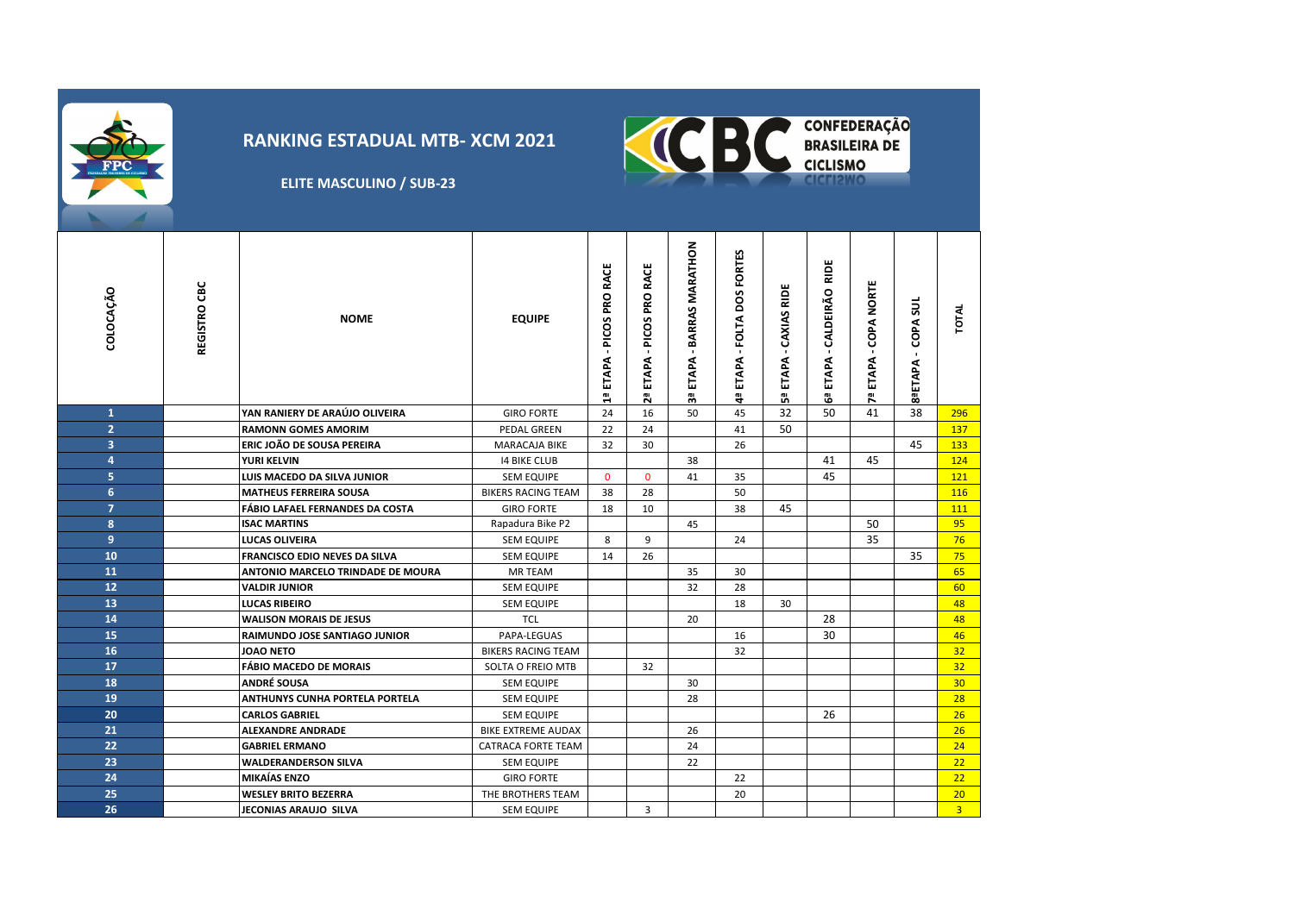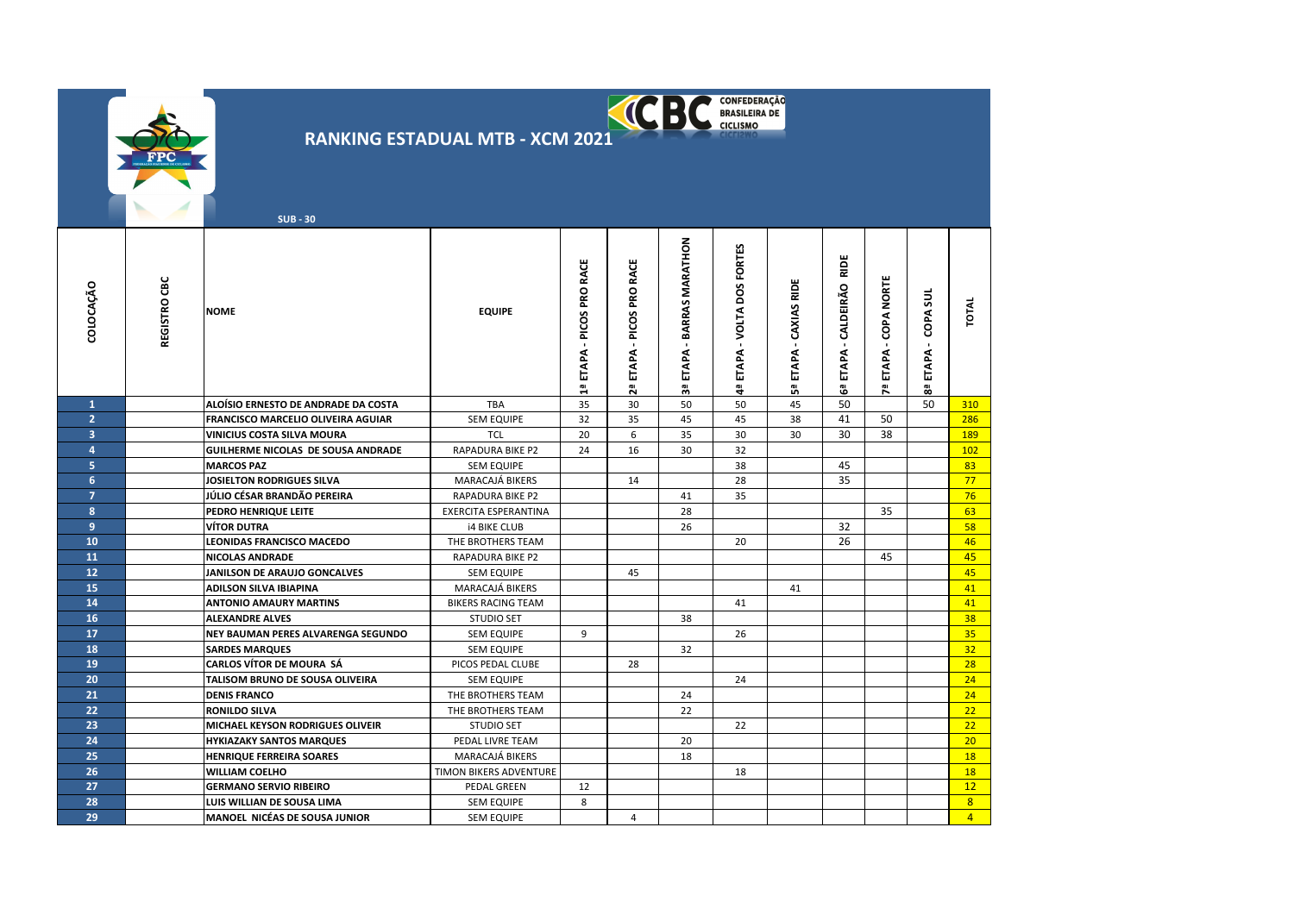|                         |              | <b>SUB - 30</b>                              | <b>RANKING ESTADUAL MTB - XCM 2021</b>       |                                 |                                           | <b>KCBC</b> BRASILEIRA DE            |                               |                              |                                 |                         |                                        |                |
|-------------------------|--------------|----------------------------------------------|----------------------------------------------|---------------------------------|-------------------------------------------|--------------------------------------|-------------------------------|------------------------------|---------------------------------|-------------------------|----------------------------------------|----------------|
| COLOCAÇÃO               | REGISTRO CBC | <b>NOME</b>                                  | <b>EQUIPE</b>                                | - PICOS PRO RACE<br>ETAPA.<br>찁 | <b>RACE</b><br>- PICOS PRO<br>ETAPA<br>29 | <b>BARRAS MARATHON</b><br>ETAPA<br>୷ | ETAPA - VOLTA DOS FORTES<br>똭 | - CAXIAS RIDE<br>ETAPA.<br>ឹ | RIDE<br>ETAPA - CALDEIRÃO<br>ෂී | ETAPA - COPA NORTE<br>ሺ | COPA SU<br>$\mathbf{r}$<br>ETAPA-<br>8 | TOTAL          |
| $\mathbf{1}$            |              | ALOÍSIO ERNESTO DE ANDRADE DA COSTA          | TBA                                          | 35                              | 30                                        | 50                                   | 50                            | 45                           | 50                              |                         | 50                                     | 310            |
| $\overline{2}$          |              | FRANCISCO MARCELIO OLIVEIRA AGUIAR           | <b>SEM EQUIPE</b>                            | 32                              | 35                                        | 45                                   | 45                            | 38                           | 41                              | 50                      |                                        | 286            |
| $\overline{\mathbf{3}}$ |              | VINICIUS COSTA SILVA MOURA                   | <b>TCL</b>                                   | 20                              | 6                                         | 35                                   | 30                            | 30                           | 30                              | 38                      |                                        | 189            |
| $\overline{4}$          |              | GUILHERME NICOLAS DE SOUSA ANDRADE           | RAPADURA BIKE P2                             | 24                              | 16                                        | 30                                   | 32                            |                              |                                 |                         |                                        | 102            |
| 5.                      |              | <b>MARCOS PAZ</b>                            | <b>SEM EQUIPE</b>                            |                                 |                                           |                                      | 38                            |                              | 45                              |                         |                                        | 83             |
| 6                       |              | JOSIELTON RODRIGUES SILVA                    | MARACAJÁ BIKERS                              |                                 | 14                                        |                                      | 28                            |                              | 35                              |                         |                                        | 77             |
| $\overline{7}$          |              | JÚLIO CÉSAR BRANDÃO PEREIRA                  | <b>RAPADURA BIKE P2</b>                      |                                 |                                           | 41                                   | 35                            |                              |                                 |                         |                                        | 76             |
| 8                       |              | PEDRO HENRIQUE LEITE                         | <b>EXERCITA ESPERANTINA</b>                  |                                 |                                           | 28                                   |                               |                              |                                 | 35                      |                                        | 63             |
| 9                       |              | VÍTOR DUTRA                                  | <b>i4 BIKE CLUB</b>                          |                                 |                                           | 26                                   |                               |                              | 32<br>26                        |                         |                                        | 58             |
| 10<br>11                |              | LEONIDAS FRANCISCO MACEDO<br>NICOLAS ANDRADE | THE BROTHERS TEAM<br><b>RAPADURA BIKE P2</b> |                                 |                                           |                                      | 20                            |                              |                                 | 45                      |                                        | 46<br>45       |
| 12                      |              | JANILSON DE ARAUJO GONCALVES                 | <b>SEM EQUIPE</b>                            |                                 | 45                                        |                                      |                               |                              |                                 |                         |                                        | 45             |
| 15                      |              | ADILSON SILVA IBIAPINA                       | MARACAJÁ BIKERS                              |                                 |                                           |                                      |                               | 41                           |                                 |                         |                                        | 41             |
| 14                      |              | <b>ANTONIO AMAURY MARTINS</b>                | <b>BIKERS RACING TEAM</b>                    |                                 |                                           |                                      | 41                            |                              |                                 |                         |                                        | 41             |
| 16                      |              | <b>ALEXANDRE ALVES</b>                       | <b>STUDIO SET</b>                            |                                 |                                           | 38                                   |                               |                              |                                 |                         |                                        | 38             |
| 17                      |              | NEY BAUMAN PERES ALVARENGA SEGUNDO           | <b>SEM EQUIPE</b>                            | 9                               |                                           |                                      | 26                            |                              |                                 |                         |                                        | 35             |
| 18                      |              | <b>SARDES MARQUES</b>                        | <b>SEM EQUIPE</b>                            |                                 |                                           | 32                                   |                               |                              |                                 |                         |                                        | 32             |
| 19                      |              | <b>CARLOS VÍTOR DE MOURA SÁ</b>              | PICOS PEDAL CLUBE                            |                                 | 28                                        |                                      |                               |                              |                                 |                         |                                        | 28             |
| 20                      |              | TALISOM BRUNO DE SOUSA OLIVEIRA              | <b>SEM EQUIPE</b>                            |                                 |                                           |                                      | 24                            |                              |                                 |                         |                                        | 24             |
| 21                      |              | <b>DENIS FRANCO</b>                          | THE BROTHERS TEAM                            |                                 |                                           | 24                                   |                               |                              |                                 |                         |                                        | 24             |
| 22                      |              | <b>RONILDO SILVA</b>                         | THE BROTHERS TEAM                            |                                 |                                           | 22                                   |                               |                              |                                 |                         |                                        | 22             |
| 23                      |              | MICHAEL KEYSON RODRIGUES OLIVEIR             | <b>STUDIO SET</b>                            |                                 |                                           |                                      | 22                            |                              |                                 |                         |                                        | 22             |
| 24                      |              | <b>HYKIAZAKY SANTOS MARQUES</b>              | PEDAL LIVRE TEAM                             |                                 |                                           | 20                                   |                               |                              |                                 |                         |                                        | 20             |
| 25                      |              | <b>HENRIQUE FERREIRA SOARES</b>              | MARACAJÁ BIKERS                              |                                 |                                           | 18                                   |                               |                              |                                 |                         |                                        | 18             |
| 26                      |              | WILLIAM COELHO                               | TIMON BIKERS ADVENTURE                       |                                 |                                           |                                      | 18                            |                              |                                 |                         |                                        | 18             |
| 27                      |              | <b>GERMANO SERVIO RIBEIRO</b>                | PEDAL GREEN                                  | 12                              |                                           |                                      |                               |                              |                                 |                         |                                        | 12             |
| 28                      |              | LUIS WILLIAN DE SOUSA LIMA                   | <b>SEM EQUIPE</b>                            | 8                               |                                           |                                      |                               |                              |                                 |                         |                                        | 8 <sup>1</sup> |
| 29                      |              | <b>MANOEL NICÉAS DE SOUSA JUNIOR</b>         | <b>SEM EQUIPE</b>                            |                                 | $\overline{4}$                            |                                      |                               |                              |                                 |                         |                                        | $\overline{4}$ |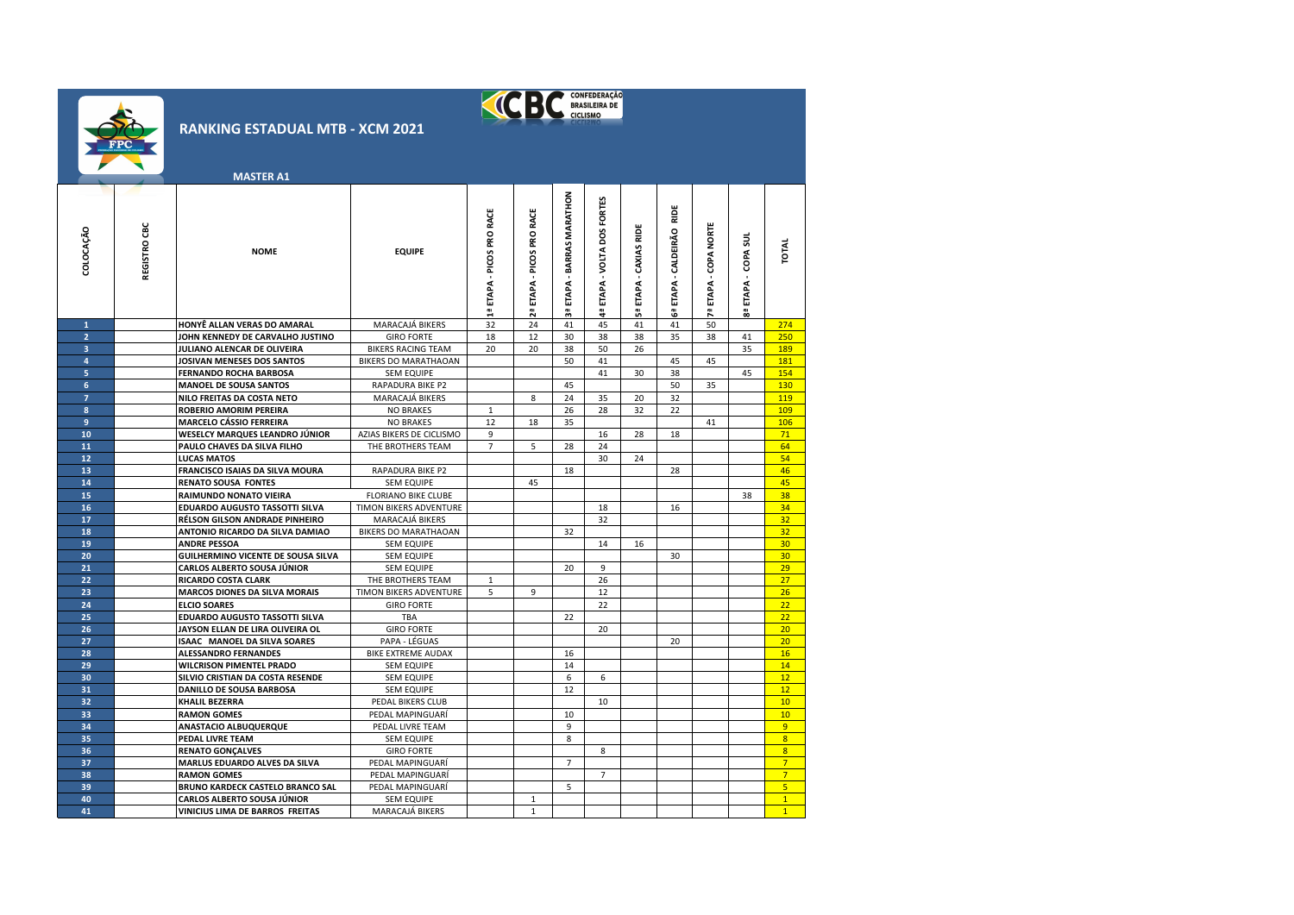

**COLOCAÇÃO**

**400 CARLOS ALBERTO SOUSA JÚNIOR ELECTRO DE SEM EQUIPE<br><b>400 VINICIUS LIMA DE BARROS FREITAS** MARACAJÁ BIKERS

**VINICIUS LIMA DE BARROS FREITAS** 

|                         |              | <b>RANKING ESTADUAL MTB - XCM 2021</b><br><b>MASTER A1</b>    |                                       |                           |                              |                               | CONFEDERAÇÃO                      |                          |                                 |                    |                        |                 |
|-------------------------|--------------|---------------------------------------------------------------|---------------------------------------|---------------------------|------------------------------|-------------------------------|-----------------------------------|--------------------------|---------------------------------|--------------------|------------------------|-----------------|
| COLOCAÇÃO               | REGISTRO CBC | <b>NOME</b>                                                   | <b>EQUIPE</b>                         | 1ª ETAPA - PICOS PRO RACE | ETAPA - PICOS PRO RACE<br>2ª | ETAPA - BARRAS MARATHON<br>59 | FORTES<br>ETAPA - VOLTA DOS<br>a. | ETAPA - CAXIAS RIDE<br>ឹ | RIDE<br>ETAPA - CALDEIRÃO<br>ෂී | ETAPA - COPA NORTE | ಕ್ಷ<br>COPA:<br>ETAPA- | TOTAL           |
| $\mathbf{1}$            |              | HONYÊ ALLAN VERAS DO AMARAL                                   | MARACAJÁ BIKERS                       | 32                        | 24                           | 41                            | 45                                | 41                       | 41                              | 50                 |                        | 274             |
| $\overline{2}$          |              | JOHN KENNEDY DE CARVALHO JUSTINO                              | <b>GIRO FORTE</b>                     | 18                        | 12                           | 30                            | 38                                | 38                       | 35                              | 38                 | 41                     | 250             |
| $\overline{3}$          |              | JULIANO ALENCAR DE OLIVEIRA                                   | <b>BIKERS RACING TEAM</b>             | 20                        | 20                           | 38                            | 50                                | 26                       |                                 |                    | 35                     | 189             |
| 4                       |              | JOSIVAN MENESES DOS SANTOS                                    | BIKERS DO MARATHAOAN                  |                           |                              | 50                            | 41                                |                          | 45                              | 45                 |                        | 181             |
| $\overline{\mathbf{5}}$ |              | FERNANDO ROCHA BARBOSA                                        | <b>SEM EQUIPE</b>                     |                           |                              |                               | 41                                | 30                       | 38                              |                    | 45                     | 154             |
| $6\phantom{a}$          |              | <b>MANOEL DE SOUSA SANTOS</b>                                 | RAPADURA BIKE P2                      |                           |                              | 45                            |                                   |                          | 50                              | 35                 |                        | 130             |
| $\overline{7}$          |              | NILO FREITAS DA COSTA NETO                                    | MARACAJÁ BIKERS                       |                           | 8                            | 24                            | 35                                | 20                       | 32                              |                    |                        | 119             |
| 8                       |              | ROBERIO AMORIM PEREIRA                                        | <b>NO BRAKES</b>                      | $\mathbf{1}$              |                              | 26                            | 28                                | 32                       | 22                              |                    |                        | 109             |
| $\overline{9}$          |              | <b>MARCELO CÁSSIO FERREIRA</b>                                | <b>NO BRAKES</b>                      | 12                        | 18                           | 35                            |                                   |                          |                                 | 41                 |                        | 106             |
| 10                      |              | <b>WESELCY MARQUES LEANDRO JÚNIOR</b>                         | AZIAS BIKERS DE CICLISMO              | 9                         |                              |                               | 16                                | 28                       | 18                              |                    |                        | 71              |
| 11                      |              | PAULO CHAVES DA SILVA FILHO                                   | THE BROTHERS TEAM                     | $\overline{7}$            | 5                            | 28                            | 24                                |                          |                                 |                    |                        | 64              |
| 12<br>13                |              | <b>LUCAS MATOS</b>                                            |                                       |                           |                              | 18                            | 30                                | 24                       |                                 |                    |                        | 54<br>46        |
| 14                      |              | FRANCISCO ISAIAS DA SILVA MOURA<br><b>RENATO SOUSA FONTES</b> | RAPADURA BIKE P2<br><b>SEM EQUIPE</b> |                           | 45                           |                               |                                   |                          | 28                              |                    |                        | 45              |
| 15                      |              | RAIMUNDO NONATO VIEIRA                                        | <b>FLORIANO BIKE CLUBE</b>            |                           |                              |                               |                                   |                          |                                 |                    | 38                     | 38              |
| 16                      |              | EDUARDO AUGUSTO TASSOTTI SILVA                                | TIMON BIKERS ADVENTURE                |                           |                              |                               | 18                                |                          | 16                              |                    |                        | 34              |
| 17                      |              | RÉLSON GILSON ANDRADE PINHEIRO                                | MARACAJÁ BIKERS                       |                           |                              |                               | 32                                |                          |                                 |                    |                        | 32              |
| 18                      |              | ANTONIO RICARDO DA SILVA DAMIAO                               | BIKERS DO MARATHAOAN                  |                           |                              | 32                            |                                   |                          |                                 |                    |                        | 32              |
| 19                      |              | <b>ANDRE PESSOA</b>                                           | SEM EQUIPE                            |                           |                              |                               | 14                                | 16                       |                                 |                    |                        | 30              |
| 20                      |              | <b>GUILHERMINO VICENTE DE SOUSA SILVA</b>                     | SEM EQUIPE                            |                           |                              |                               |                                   |                          | 30                              |                    |                        | 30 <sub>2</sub> |
| 21                      |              | <b>CARLOS ALBERTO SOUSA JÚNIOR</b>                            | <b>SEM EQUIPE</b>                     |                           |                              | 20                            | 9                                 |                          |                                 |                    |                        | 29              |
| 22                      |              | <b>RICARDO COSTA CLARK</b>                                    | THE BROTHERS TEAM                     | 1                         |                              |                               | 26                                |                          |                                 |                    |                        | 27              |
| 23                      |              | <b>MARCOS DIONES DA SILVA MORAIS</b>                          | TIMON BIKERS ADVENTURE                | 5                         | 9                            |                               | 12                                |                          |                                 |                    |                        | 26              |
| 24                      |              | <b>ELCIO SOARES</b>                                           | <b>GIRO FORTE</b>                     |                           |                              |                               | 22                                |                          |                                 |                    |                        | 22              |
| 25                      |              | EDUARDO AUGUSTO TASSOTTI SILVA                                | TBA                                   |                           |                              | 22                            |                                   |                          |                                 |                    |                        | 22              |
| 26                      |              | JAYSON ELLAN DE LIRA OLIVEIRA OL                              | <b>GIRO FORTE</b>                     |                           |                              |                               | 20                                |                          |                                 |                    |                        | 20              |
| 27                      |              | ISAAC MANOEL DA SILVA SOARES                                  | PAPA - LÉGUAS                         |                           |                              |                               |                                   |                          | 20                              |                    |                        | 20 <sup>°</sup> |
| 28                      |              | <b>ALESSANDRO FERNANDES</b>                                   | BIKE EXTREME AUDAX                    |                           |                              | 16                            |                                   |                          |                                 |                    |                        | 16              |
| 29                      |              | <b>WILCRISON PIMENTEL PRADO</b>                               | SEM EQUIPE                            |                           |                              | 14                            |                                   |                          |                                 |                    |                        | 14              |
| 30                      |              | SILVIO CRISTIAN DA COSTA RESENDE                              | SEM EQUIPE                            |                           |                              | 6                             | 6                                 |                          |                                 |                    |                        | 12              |
| 31                      |              | DANILLO DE SOUSA BARBOSA                                      | <b>SEM EQUIPE</b>                     |                           |                              | 12                            |                                   |                          |                                 |                    |                        | 12              |
| 32<br>33                |              | <b>KHALIL BEZERRA</b>                                         | PEDAL BIKERS CLUB                     |                           |                              | 10                            | 10                                |                          |                                 |                    |                        | 10<br>10        |
| 34                      |              | <b>RAMON GOMES</b><br>ANASTACIO ALBUQUERQUE                   | PEDAL MAPINGUARI<br>PEDAL LIVRE TEAM  |                           |                              | 9                             |                                   |                          |                                 |                    |                        | 9 <sup>°</sup>  |
| 35                      |              | PEDAL LIVRE TEAM                                              | <b>SEM EQUIPE</b>                     |                           |                              | 8                             |                                   |                          |                                 |                    |                        | 8               |
| 36                      |              | <b>RENATO GONÇALVES</b>                                       | <b>GIRO FORTE</b>                     |                           |                              |                               | 8                                 |                          |                                 |                    |                        | $\overline{8}$  |
| 37                      |              | MARLUS EDUARDO ALVES DA SILVA                                 | PEDAL MAPINGUARÍ                      |                           |                              | $\overline{7}$                |                                   |                          |                                 |                    |                        | $7^{1}$         |
| 38                      |              | <b>RAMON GOMES</b>                                            | PEDAL MAPINGUARÍ                      |                           |                              |                               | $\overline{7}$                    |                          |                                 |                    |                        | $\overline{7}$  |
| 39                      |              | BRUNO KARDECK CASTELO BRANCO SAL                              | PEDAL MAPINGUARÍ                      |                           |                              | 5                             |                                   |                          |                                 |                    |                        | 5 <sup>1</sup>  |
| 40                      |              | <b>CARLOS ALBERTO SOUSA JÚNIOR</b>                            | SEM EQUIPE                            |                           | $\mathbf{1}$                 |                               |                                   |                          |                                 |                    |                        | $\overline{1}$  |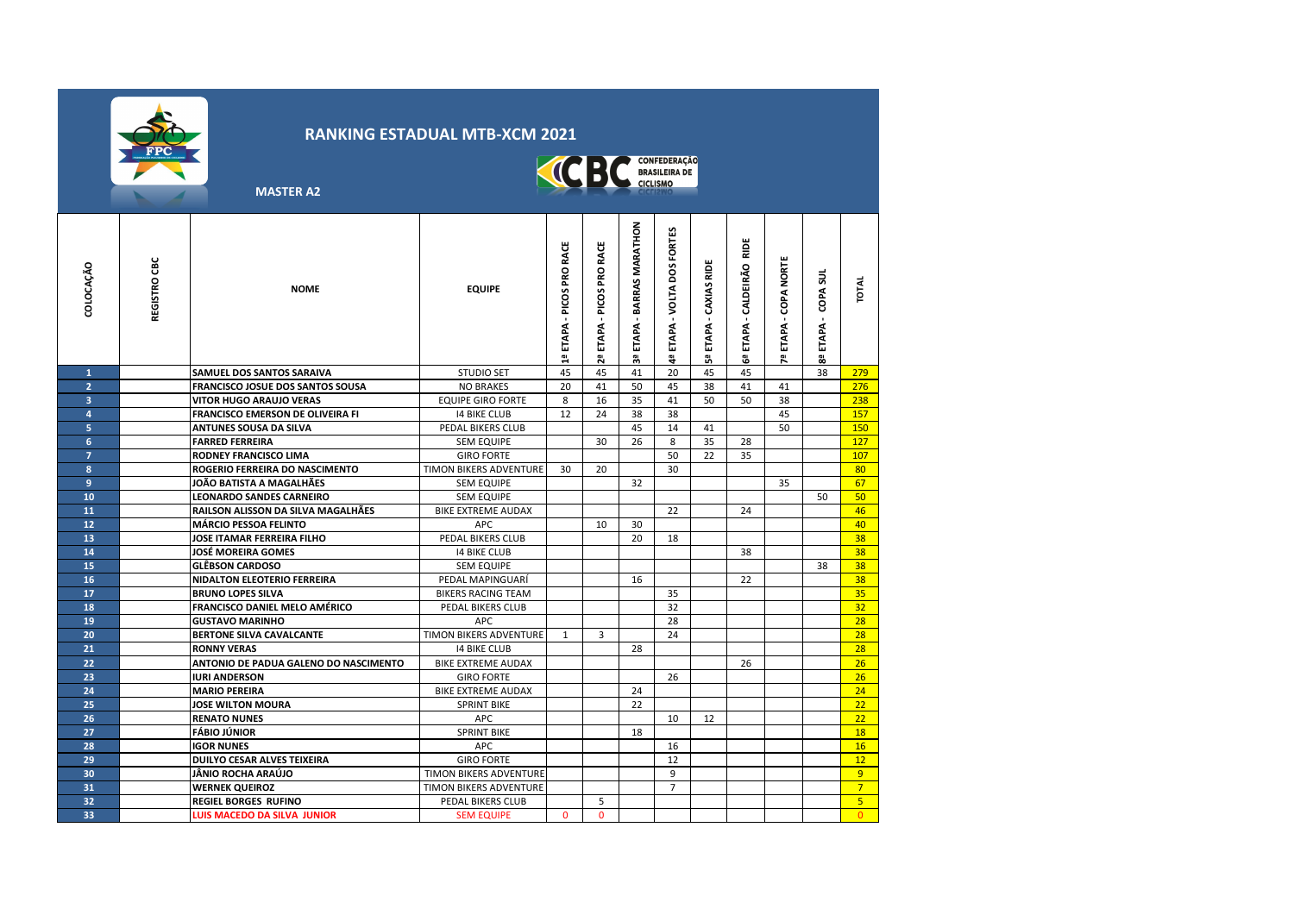



 **MASTER A2**

| corocação<br>$\mathbf{1}$ | REGISTRO CBC | <b>NOME</b><br>SAMUEL DOS SANTOS SARAIVA | <b>EQUIPE</b><br><b>STUDIO SET</b> | - PICOS PRO RACE<br>ETAPA<br>릡<br>45 | RACE<br>PICOS PRO<br>ETAPA<br>29<br>45 | ETAPA - BARRAS MARATHON<br>as<br>41 | <b>FORTES</b><br>ETAPA - VOLTA DOS<br>eł<br>20 | ETAPA - CAXIAS RIDE<br>ងី<br>45 | RIDE<br>ETAPA - CALDEIRÃO<br>ෂී<br>45 | <b>COPA NORTE</b><br>ETAPA<br>ሾ | COPA SUL<br>ETAPA<br>옚<br>38 | <b>TOTAL</b><br>279 |
|---------------------------|--------------|------------------------------------------|------------------------------------|--------------------------------------|----------------------------------------|-------------------------------------|------------------------------------------------|---------------------------------|---------------------------------------|---------------------------------|------------------------------|---------------------|
| $\overline{2}$            |              | <b>FRANCISCO JOSUE DOS SANTOS SOUSA</b>  | <b>NO BRAKES</b>                   | 20                                   | 41                                     | 50                                  | 45                                             | 38                              | 41                                    | 41                              |                              | 276                 |
| 3                         |              | <b>VITOR HUGO ARAUJO VERAS</b>           | <b>EQUIPE GIRO FORTE</b>           | 8                                    | 16                                     | 35                                  | 41                                             | 50                              | 50                                    | 38                              |                              | 238                 |
| 4                         |              | <b>FRANCISCO EMERSON DE OLIVEIRA FI</b>  | <b>14 BIKE CLUB</b>                | 12                                   | 24                                     | 38                                  | 38                                             |                                 |                                       | 45                              |                              | 157                 |
| 5                         |              | <b>ANTUNES SOUSA DA SILVA</b>            | PEDAL BIKERS CLUB                  |                                      |                                        | 45                                  | 14                                             | 41                              |                                       | 50                              |                              | 150                 |
| 6                         |              | <b>FARRED FERREIRA</b>                   | <b>SEM EQUIPE</b>                  |                                      | 30                                     | 26                                  | 8                                              | 35                              | 28                                    |                                 |                              | 127                 |
| $\overline{7}$            |              | <b>RODNEY FRANCISCO LIMA</b>             | <b>GIRO FORTE</b>                  |                                      |                                        |                                     | 50                                             | 22                              | 35                                    |                                 |                              | 107                 |
| 8                         |              | ROGERIO FERREIRA DO NASCIMENTO           | TIMON BIKERS ADVENTURE             | 30                                   | 20                                     |                                     | 30                                             |                                 |                                       |                                 |                              | 80                  |
| 9                         |              | JOÃO BATISTA A MAGALHÃES                 | <b>SEM EQUIPE</b>                  |                                      |                                        | 32                                  |                                                |                                 |                                       | 35                              |                              | 67                  |
| 10                        |              | <b>LEONARDO SANDES CARNEIRO</b>          | <b>SEM EQUIPE</b>                  |                                      |                                        |                                     |                                                |                                 |                                       |                                 | 50                           | 50                  |
| 11                        |              | RAILSON ALISSON DA SILVA MAGALHÃES       | <b>BIKE EXTREME AUDAX</b>          |                                      |                                        |                                     | 22                                             |                                 | 24                                    |                                 |                              | 46                  |
| 12                        |              | <b>MÁRCIO PESSOA FELINTO</b>             | APC.                               |                                      | 10                                     | 30                                  |                                                |                                 |                                       |                                 |                              | 40                  |
| 13                        |              | <b>JOSE ITAMAR FERREIRA FILHO</b>        | PEDAL BIKERS CLUB                  |                                      |                                        | 20                                  | 18                                             |                                 |                                       |                                 |                              | 38                  |
| 14                        |              | JOSÉ MOREIRA GOMES                       | <b>14 BIKE CLUB</b>                |                                      |                                        |                                     |                                                |                                 | 38                                    |                                 |                              | 38                  |
| 15                        |              | <b>GLÊBSON CARDOSO</b>                   | <b>SEM EQUIPE</b>                  |                                      |                                        |                                     |                                                |                                 |                                       |                                 | 38                           | 38                  |
| 16                        |              | <b>NIDALTON ELEOTERIO FERREIRA</b>       | PEDAL MAPINGUARÍ                   |                                      |                                        | 16                                  |                                                |                                 | 22                                    |                                 |                              | 38                  |
| 17                        |              | <b>BRUNO LOPES SILVA</b>                 | <b>BIKERS RACING TEAM</b>          |                                      |                                        |                                     | 35                                             |                                 |                                       |                                 |                              | 35                  |
| 18                        |              | <b>FRANCISCO DANIEL MELO AMÉRICO</b>     | PEDAL BIKERS CLUB                  |                                      |                                        |                                     | 32                                             |                                 |                                       |                                 |                              | 32                  |
| 19                        |              | <b>GUSTAVO MARINHO</b>                   | APC.                               |                                      |                                        |                                     | 28                                             |                                 |                                       |                                 |                              | 28                  |
| 20                        |              | <b>BERTONE SILVA CAVALCANTE</b>          | TIMON BIKERS ADVENTURE             | $\mathbf{1}$                         | 3                                      |                                     | 24                                             |                                 |                                       |                                 |                              | 28                  |
| 21                        |              | <b>RONNY VERAS</b>                       | <b>14 BIKE CLUB</b>                |                                      |                                        | 28                                  |                                                |                                 |                                       |                                 |                              | 28                  |
| 22                        |              | ANTONIO DE PADUA GALENO DO NASCIMENTO    | <b>BIKE EXTREME AUDAX</b>          |                                      |                                        |                                     |                                                |                                 | 26                                    |                                 |                              | 26                  |
| 23                        |              | <b>IURI ANDERSON</b>                     | <b>GIRO FORTE</b>                  |                                      |                                        |                                     | 26                                             |                                 |                                       |                                 |                              | 26                  |
| 24                        |              | <b>MARIO PEREIRA</b>                     | <b>BIKE EXTREME AUDAX</b>          |                                      |                                        | 24                                  |                                                |                                 |                                       |                                 |                              | 24                  |
| 25                        |              | <b>JOSE WILTON MOURA</b>                 | <b>SPRINT BIKE</b>                 |                                      |                                        | 22                                  |                                                |                                 |                                       |                                 |                              | 22                  |
| 26                        |              | <b>RENATO NUNES</b>                      | <b>APC</b>                         |                                      |                                        |                                     | 10                                             | 12                              |                                       |                                 |                              | 22                  |
| 27                        |              | <b>FÁBIO JÚNIOR</b>                      | <b>SPRINT BIKE</b>                 |                                      |                                        | 18                                  |                                                |                                 |                                       |                                 |                              | 18                  |
| 28                        |              | <b>IGOR NUNES</b>                        | <b>APC</b>                         |                                      |                                        |                                     | 16                                             |                                 |                                       |                                 |                              | 16                  |
| 29                        |              | DUILYO CESAR ALVES TEIXEIRA              | <b>GIRO FORTE</b>                  |                                      |                                        |                                     | 12                                             |                                 |                                       |                                 |                              | 12                  |
| 30                        |              | JÂNIO ROCHA ARAÚJO                       | <b>TIMON BIKERS ADVENTURE</b>      |                                      |                                        |                                     | 9                                              |                                 |                                       |                                 |                              | 9                   |
| 31                        |              | <b>WERNEK QUEIROZ</b>                    | TIMON BIKERS ADVENTURE             |                                      |                                        |                                     | $\overline{7}$                                 |                                 |                                       |                                 |                              | 7 <sup>7</sup>      |
| 32                        |              | REGIEL BORGES RUFINO                     | PEDAL BIKERS CLUB                  |                                      | 5                                      |                                     |                                                |                                 |                                       |                                 |                              | 5 <sup>1</sup>      |
| 33                        |              | <b>LUIS MACEDO DA SILVA JUNIOR</b>       | <b>SEM EQUIPE</b>                  | $\Omega$                             | $\Omega$                               |                                     |                                                |                                 |                                       |                                 |                              | $\Omega$            |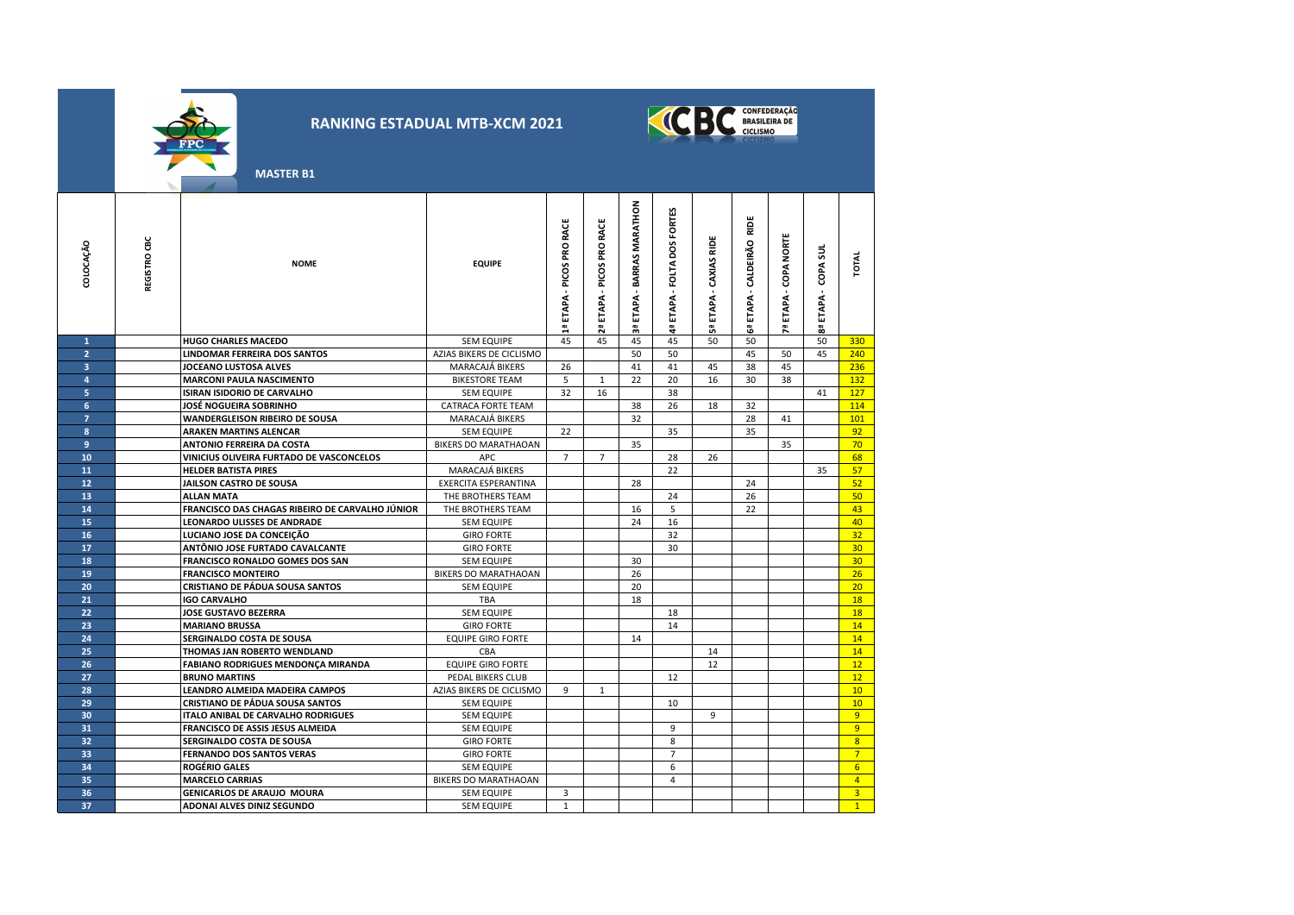



 **MASTER B1**

| COLOCAÇÃO      | REGISTRO CBC | <b>NOME</b>                                     | <b>EQUIPE</b>               | ETAPA - PICOS PRO RACE<br>믭 | RACE<br>ETAPA - PICOS PRO | - BARRAS MARATHON<br><b>ETAPA</b><br>ក្ល | ETAPA - FOLTA DOS FORTES | ETAPA - CAXIAS RIDE<br>ងី | RIDE<br>CALDEIRÃO<br>ETAPA.<br>G. | ETAPA - COPA NORTE | COPA SUL<br>ETAPA- | TOTAL           |
|----------------|--------------|-------------------------------------------------|-----------------------------|-----------------------------|---------------------------|------------------------------------------|--------------------------|---------------------------|-----------------------------------|--------------------|--------------------|-----------------|
| $\mathbf{1}$   |              | <b>HUGO CHARLES MACEDO</b>                      | <b>SEM EQUIPE</b>           | 45                          | 45                        | 45                                       | 45                       | 50                        | 50                                |                    | 50                 | 330             |
| $\overline{2}$ |              | <b>LINDOMAR FERREIRA DOS SANTOS</b>             | AZIAS BIKERS DE CICLISMO    |                             |                           | 50                                       | 50                       |                           | 45                                | 50                 | 45                 | 240             |
| $\overline{3}$ |              | <b>JOCEANO LUSTOSA ALVES</b>                    | MARACAJÁ BIKERS             | 26                          |                           | 41                                       | 41                       | 45                        | 38                                | 45                 |                    | 236             |
| 4              |              | <b>MARCONI PAULA NASCIMENTO</b>                 | <b>BIKESTORE TEAM</b>       | 5                           | 1                         | 22                                       | 20                       | 16                        | 30                                | 38                 |                    | 132             |
| 5              |              | ISIRAN ISIDORIO DE CARVALHO                     | <b>SEM EQUIPE</b>           | 32                          | 16                        |                                          | 38                       |                           |                                   |                    | 41                 | 127             |
| 6              |              | JOSÉ NOGUEIRA SOBRINHO                          | CATRACA FORTE TEAM          |                             |                           | 38                                       | 26                       | 18                        | 32                                |                    |                    | 114             |
| $\overline{7}$ |              | <b>WANDERGLEISON RIBEIRO DE SOUSA</b>           | MARACAJÁ BIKERS             |                             |                           | 32                                       |                          |                           | 28                                | 41                 |                    | 101             |
| 8              |              | <b>ARAKEN MARTINS ALENCAR</b>                   | <b>SEM EQUIPE</b>           | 22                          |                           |                                          | 35                       |                           | 35                                |                    |                    | 92              |
| 9              |              | <b>ANTONIO FERREIRA DA COSTA</b>                | <b>BIKERS DO MARATHAOAN</b> |                             |                           | 35                                       |                          |                           |                                   | 35                 |                    | 70              |
| 10             |              | VINICIUS OLIVEIRA FURTADO DE VASCONCELOS        | <b>APC</b>                  | $\overline{7}$              | $\overline{7}$            |                                          | 28                       | 26                        |                                   |                    |                    | 68              |
| 11             |              | <b>HELDER BATISTA PIRES</b>                     | MARACAJÁ BIKERS             |                             |                           |                                          | 22                       |                           |                                   |                    | 35                 | 57              |
| 12             |              | JAILSON CASTRO DE SOUSA                         | EXERCITA ESPERANTINA        |                             |                           | 28                                       |                          |                           | 24                                |                    |                    | 52              |
| 13             |              | <b>ALLAN MATA</b>                               | THE BROTHERS TEAM           |                             |                           |                                          | 24                       |                           | 26                                |                    |                    | 50              |
| 14             |              | FRANCISCO DAS CHAGAS RIBEIRO DE CARVALHO JÚNIOR | THE BROTHERS TEAM           |                             |                           | 16                                       | 5                        |                           | 22                                |                    |                    | 43              |
| 15             |              | LEONARDO ULISSES DE ANDRADE                     | <b>SEM EQUIPE</b>           |                             |                           | 24                                       | 16                       |                           |                                   |                    |                    | 40              |
| 16             |              | LUCIANO JOSE DA CONCEIÇÃO                       | <b>GIRO FORTE</b>           |                             |                           |                                          | 32                       |                           |                                   |                    |                    | 32              |
| 17             |              | ANTÔNIO JOSE FURTADO CAVALCANTE                 | <b>GIRO FORTE</b>           |                             |                           |                                          | 30                       |                           |                                   |                    |                    | 30              |
| 18             |              | <b>FRANCISCO RONALDO GOMES DOS SAN</b>          | <b>SEM EQUIPE</b>           |                             |                           | 30                                       |                          |                           |                                   |                    |                    | 30 <sup>°</sup> |
| 19             |              | <b>FRANCISCO MONTEIRO</b>                       | <b>BIKERS DO MARATHAOAN</b> |                             |                           | 26                                       |                          |                           |                                   |                    |                    | 26              |
| 20             |              | <b>CRISTIANO DE PÁDUA SOUSA SANTOS</b>          | <b>SEM EQUIPE</b>           |                             |                           | 20                                       |                          |                           |                                   |                    |                    | 20              |
| 21             |              | <b>IGO CARVALHO</b>                             | TBA                         |                             |                           | 18                                       |                          |                           |                                   |                    |                    | 18              |
| 22             |              | <b>JOSE GUSTAVO BEZERRA</b>                     | <b>SEM EQUIPE</b>           |                             |                           |                                          | 18                       |                           |                                   |                    |                    | 18              |
| 23             |              | <b>MARIANO BRUSSA</b>                           | <b>GIRO FORTE</b>           |                             |                           |                                          | 14                       |                           |                                   |                    |                    | 14              |
| 24             |              | SERGINALDO COSTA DE SOUSA                       | <b>EQUIPE GIRO FORTE</b>    |                             |                           | 14                                       |                          |                           |                                   |                    |                    | 14              |
| 25             |              | THOMAS JAN ROBERTO WENDLAND                     | CBA                         |                             |                           |                                          |                          | 14                        |                                   |                    |                    | 14              |
| 26             |              | <b>FABIANO RODRIGUES MENDONÇA MIRANDA</b>       | <b>EQUIPE GIRO FORTE</b>    |                             |                           |                                          |                          | 12                        |                                   |                    |                    | 12              |
| 27             |              | <b>BRUNO MARTINS</b>                            | PEDAL BIKERS CLUB           |                             |                           |                                          | 12                       |                           |                                   |                    |                    | 12              |
| 28             |              | LEANDRO ALMEIDA MADEIRA CAMPOS                  | AZIAS BIKERS DE CICLISMO    | 9                           | 1                         |                                          |                          |                           |                                   |                    |                    | 10              |
| 29             |              | <b>CRISTIANO DE PÁDUA SOUSA SANTOS</b>          | <b>SEM EQUIPE</b>           |                             |                           |                                          | 10                       |                           |                                   |                    |                    | 10              |
| 30             |              | ITALO ANIBAL DE CARVALHO RODRIGUES              | <b>SEM EQUIPE</b>           |                             |                           |                                          |                          | 9                         |                                   |                    |                    | 9               |
| 31             |              | FRANCISCO DE ASSIS JESUS ALMEIDA                | <b>SEM EQUIPE</b>           |                             |                           |                                          | 9                        |                           |                                   |                    |                    | 9               |
| 32             |              | SERGINALDO COSTA DE SOUSA                       | <b>GIRO FORTE</b>           |                             |                           |                                          | 8                        |                           |                                   |                    |                    | 8               |
| 33             |              | <b>FERNANDO DOS SANTOS VERAS</b>                | <b>GIRO FORTE</b>           |                             |                           |                                          | $\overline{7}$           |                           |                                   |                    |                    | 7 <sup>2</sup>  |
| 34             |              | <b>ROGÉRIO GALES</b>                            | <b>SEM EQUIPE</b>           |                             |                           |                                          | 6                        |                           |                                   |                    |                    | 6 <sup>1</sup>  |
| 35             |              | <b>MARCELO CARRIAS</b>                          | BIKERS DO MARATHAOAN        |                             |                           |                                          | $\overline{4}$           |                           |                                   |                    |                    | $\overline{4}$  |
| 36             |              | <b>GENICARLOS DE ARAUJO MOURA</b>               | <b>SEM EQUIPE</b>           | 3                           |                           |                                          |                          |                           |                                   |                    |                    | $\overline{3}$  |
| 37             |              | <b>ADONAI ALVES DINIZ SEGUNDO</b>               | <b>SEM EQUIPE</b>           | $\mathbf{1}$                |                           |                                          |                          |                           |                                   |                    |                    | $\overline{1}$  |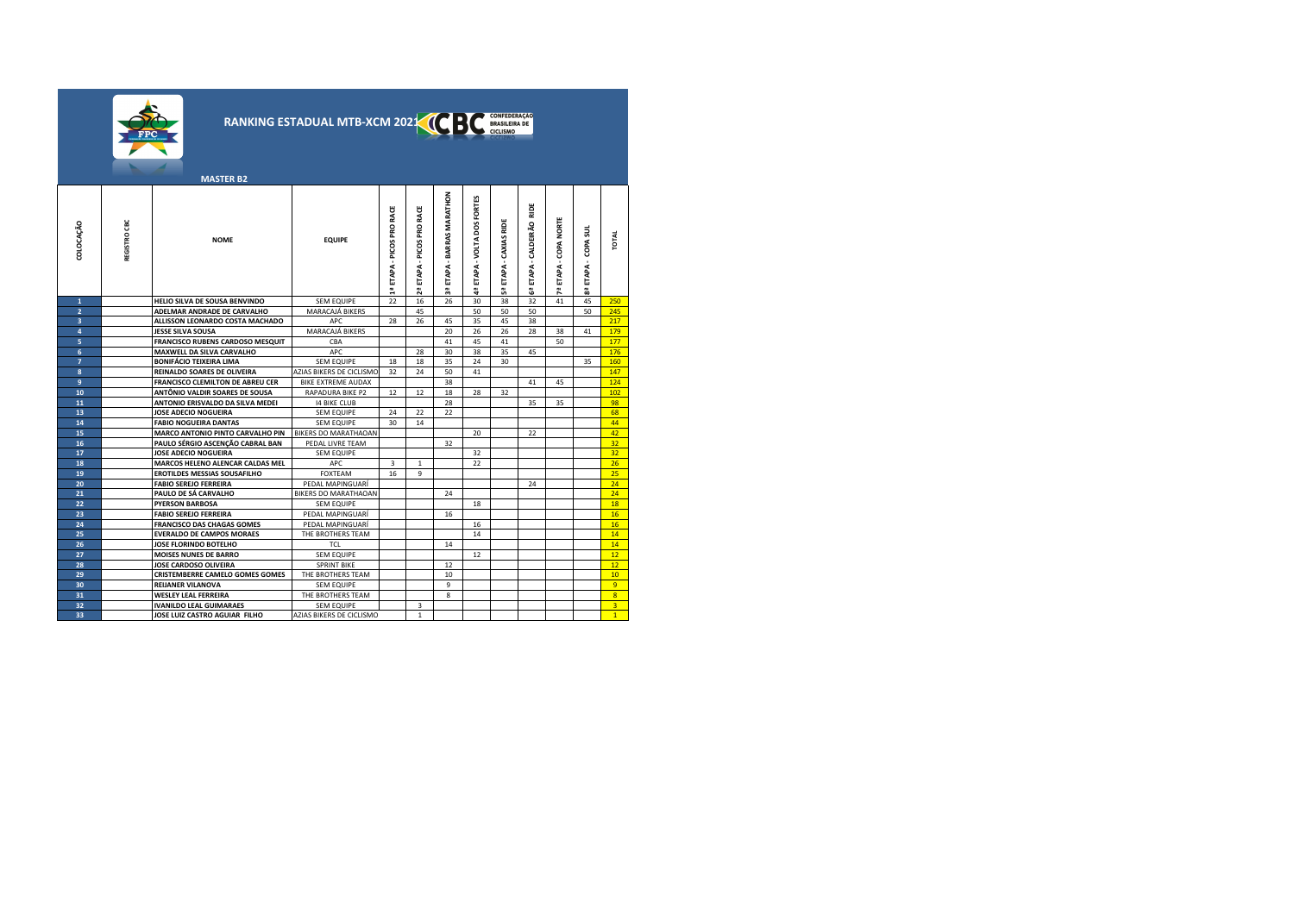|                              |              |                                                      | RANKING ESTADUAL MTB-XCM 202X 0 |                              |                        |                               |                                | CONFEDERAÇÃO<br>BRASILEIRA DE<br>CICLISMO |                                 |                       |                        |                 |
|------------------------------|--------------|------------------------------------------------------|---------------------------------|------------------------------|------------------------|-------------------------------|--------------------------------|-------------------------------------------|---------------------------------|-----------------------|------------------------|-----------------|
|                              |              | <b>MASTER B2</b>                                     |                                 |                              |                        |                               |                                |                                           |                                 |                       |                        |                 |
| COLOCAÇÃO                    | REGISTRO CBC | <b>NOME</b>                                          | <b>EQUIPE</b>                   | ETAPA - PICOS PRO RACE<br>÷. | ETAPA - PICOS PRO RACE | ETAPA - BARRAS MARATHON<br>a. | ETAPA - VOLTA DOS FORTES<br>ą. | ETAPA - CAXIAS RIDE<br>ů,                 | RIDE<br>ETAPA - CALDEIRÃO<br>Ĝ, | 7ª ETAPA - COPA NORTE | ETAPA - COPA SUL<br>59 | <b>TOTAL</b>    |
| $\mathbf{1}$                 |              | HELIO SILVA DE SOUSA BENVINDO                        | <b>SEM EQUIPE</b>               | 22                           | 16                     | 26                            | 30                             | 38                                        | 32                              | 41                    | 45                     | 250             |
| $\overline{2}$               |              | ADELMAR ANDRADE DE CARVALHO                          | MARACAJÁ BIKERS                 |                              | 45                     |                               | 50                             | 50                                        | 50                              |                       | 50                     | 245             |
| $\overline{\mathbf{3}}$<br>4 |              | ALLISSON LEONARDO COSTA MACHADO<br>JESSE SILVA SOUSA | APC<br>MARACAJÁ BIKERS          | 28                           | 26                     | 45<br>20                      | 35<br>26                       | 45<br>26                                  | 38<br>28                        | 38                    | 41                     | 217<br>179      |
| 5                            |              | FRANCISCO RUBENS CARDOSO MESQUIT                     | CBA                             |                              |                        | 41                            | 45                             | 41                                        |                                 | 50                    |                        | 177             |
| 6                            |              | MAXWELL DA SILVA CARVALHO                            | APC                             |                              | 28                     | 30                            | 38                             | 35                                        | 45                              |                       |                        | 176             |
| $\overline{7}$               |              | <b>BONIFÁCIO TEIXEIRA LIMA</b>                       | <b>SEM EQUIPE</b>               | 18                           | 18                     | 35                            | 24                             | 30                                        |                                 |                       | 35                     | 160             |
| 8                            |              | <b>REINALDO SOARES DE OLIVEIRA</b>                   | AZIAS BIKERS DE CICLISMO        | 32                           | 24                     | 50                            | 41                             |                                           |                                 |                       |                        | 147             |
| 9                            |              | FRANCISCO CLEMILTON DE ABREU CER                     | BIKE EXTREME AUDAX              |                              |                        | 38                            |                                |                                           | 41                              | 45                    |                        | 124             |
| 10                           |              | ANTÔNIO VALDIR SOARES DE SOUSA                       | RAPADURA BIKE P2                | 12                           | 12                     | 18                            | 28                             | 32                                        |                                 |                       |                        | 102             |
| 11                           |              | ANTONIO ERISVALDO DA SILVA MEDEI                     | <b>14 BIKE CLUB</b>             |                              |                        | 28                            |                                |                                           | 35                              | 35                    |                        | 98              |
| 13                           |              | JOSE ADECIO NOGUEIRA                                 | <b>SEM EQUIPE</b>               | 24                           | 22                     | 22                            |                                |                                           |                                 |                       |                        | 68              |
| 14                           |              | <b>FABIO NOGUEIRA DANTAS</b>                         | <b>SEM EQUIPE</b>               | 30                           | 14                     |                               |                                |                                           |                                 |                       |                        | 44              |
| 15                           |              | MARCO ANTONIO PINTO CARVALHO PIN                     | BIKERS DO MARATHAOAN            |                              |                        |                               | 20                             |                                           | 22                              |                       |                        | 42              |
| 16                           |              | PAULO SÉRGIO ASCENÇÃO CABRAL BAN                     | PEDAL LIVRE TEAM                |                              |                        | 32                            |                                |                                           |                                 |                       |                        | 32              |
| 17                           |              | JOSE ADECIO NOGUEIRA                                 | <b>SEM EQUIPE</b>               |                              |                        |                               | 32                             |                                           |                                 |                       |                        | 32              |
| 18                           |              | MARCOS HELENO ALENCAR CALDAS MEL                     | APC                             | 3                            | $\mathbf{1}$           |                               | 22                             |                                           |                                 |                       |                        | 26              |
| 19                           |              | <b>EROTILDES MESSIAS SOUSAFILHO</b>                  | <b>FOXTEAM</b>                  | 16                           | 9                      |                               |                                |                                           |                                 |                       |                        | 25              |
| 20                           |              | <b>FABIO SEREJO FERREIRA</b>                         | PEDAL MAPINGUARI                |                              |                        |                               |                                |                                           | 24                              |                       |                        | 24              |
| 21                           |              | PAULO DE SÁ CARVALHO                                 | BIKERS DO MARATHAOAN            |                              |                        | 24                            |                                |                                           |                                 |                       |                        | 24              |
| 22                           |              | <b>PYERSON BARBOSA</b>                               | <b>SEM EQUIPE</b>               |                              |                        |                               | 18                             |                                           |                                 |                       |                        | 18              |
| 23                           |              | <b>FABIO SEREJO FERREIRA</b>                         | PEDAL MAPINGUARI                |                              |                        | 16                            |                                |                                           |                                 |                       |                        | 16              |
| 24                           |              | <b>FRANCISCO DAS CHAGAS GOMES</b>                    | PEDAL MAPINGUARÍ                |                              |                        |                               | 16                             |                                           |                                 |                       |                        | 16              |
| 25                           |              | <b>EVERALDO DE CAMPOS MORAES</b>                     | THE BROTHERS TEAM               |                              |                        |                               | 14                             |                                           |                                 |                       |                        | 14 <sup>°</sup> |
| 26                           |              | JOSE FLORINDO BOTELHO                                | <b>TCL</b>                      |                              |                        | 14                            |                                |                                           |                                 |                       |                        | 14              |
| 27                           |              | <b>MOISES NUNES DE BARRO</b>                         | <b>SEM EQUIPE</b>               |                              |                        |                               | 12                             |                                           |                                 |                       |                        | 12 <sup>7</sup> |
| 28                           |              | JOSE CARDOSO OLIVEIRA                                | <b>SPRINT BIKE</b>              |                              |                        | 12                            |                                |                                           |                                 |                       |                        | 12              |
| 29                           |              | <b>CRISTEMBERRE CAMELO GOMES GOMES</b>               | THE BROTHERS TEAM               |                              |                        | 10                            |                                |                                           |                                 |                       |                        | 10 <sup>°</sup> |
| 30                           |              | <b>REIJANER VILANOVA</b>                             | <b>SEM EQUIPE</b>               |                              |                        | 9                             |                                |                                           |                                 |                       |                        | 9               |
| 31                           |              | <b>WESLEY LEAL FERREIRA</b>                          | THE BROTHERS TEAM               |                              |                        | 8                             |                                |                                           |                                 |                       |                        | $\overline{8}$  |
| 32                           |              | <b>IVANILDO LEAL GUIMARAES</b>                       | <b>SEM EQUIPE</b>               |                              | 3                      |                               |                                |                                           |                                 |                       |                        | $\overline{3}$  |
| 33                           |              | JOSE LUIZ CASTRO AGUIAR FILHO                        | AZIAS BIKERS DE CICLISMO        |                              | $\mathbf{1}$           |                               |                                |                                           |                                 |                       |                        | 1               |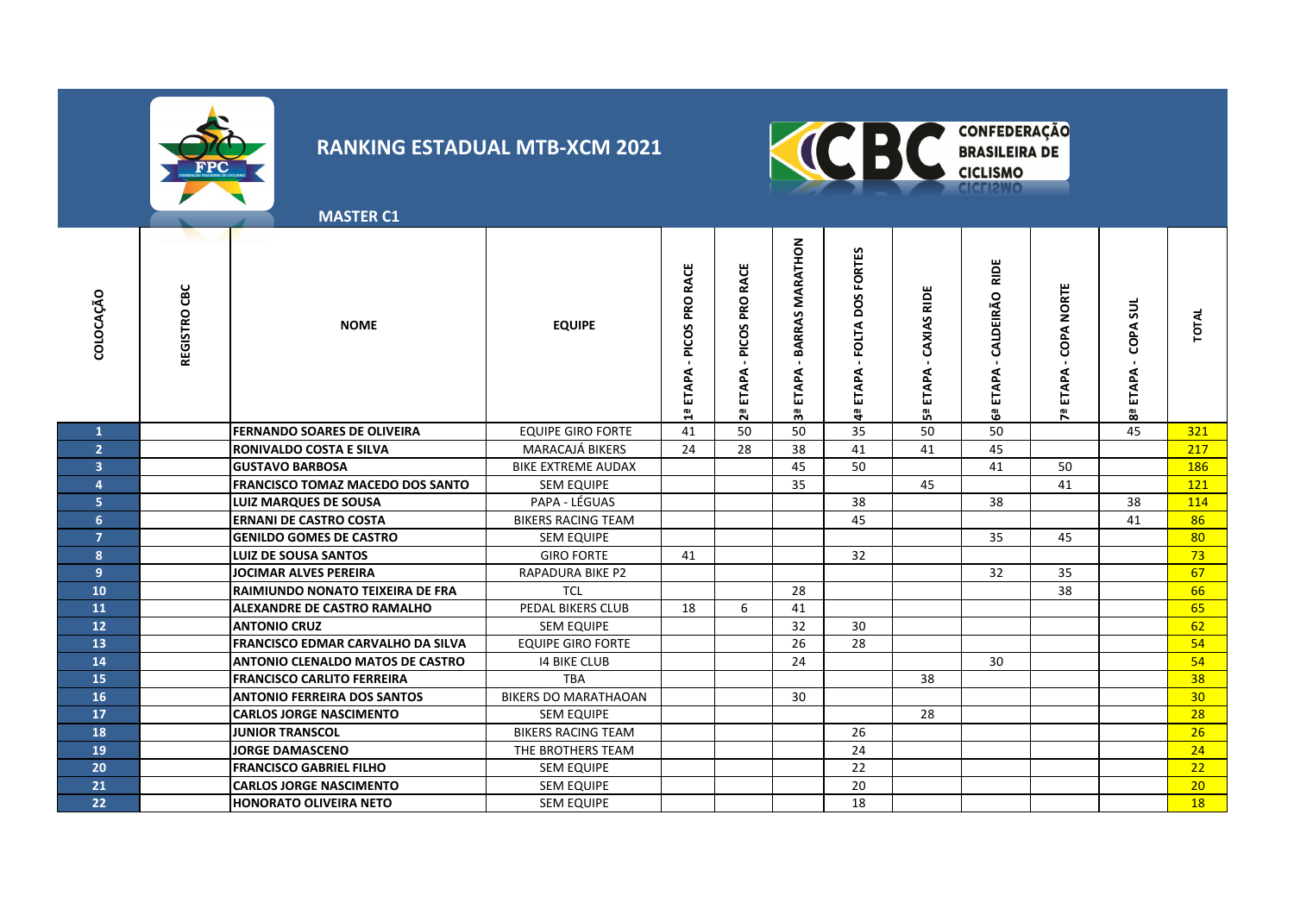



**MASTER C1**

| COLOCAÇÃO               | CВC<br>REGISTRO | <b>NOME</b>                              | <b>EQUIPE</b>               | PICOS PRO RACE<br><b>ETAPA</b><br>읩 | <b>RACE</b><br>PRO<br>PICOS<br>ETAPA<br>្គ | MARATHON<br>ARRAS<br>≃<br><b>APA</b><br>ᆸ<br>ၛၟ | DOS FORTES<br><b>FOLTA</b><br>ETAPA<br>e, | ш<br>CAXIAS RID<br>ETAPA<br>ឹ | RIDE<br>CALDEIRÃO<br><b>ETAPA</b><br>ෂී | <b>NORTE</b><br>COPA<br>ETAPA<br><b>Pa</b> | sul<br>COPA<br>ETAPA<br>쮢 | TOTAL           |
|-------------------------|-----------------|------------------------------------------|-----------------------------|-------------------------------------|--------------------------------------------|-------------------------------------------------|-------------------------------------------|-------------------------------|-----------------------------------------|--------------------------------------------|---------------------------|-----------------|
| $\mathbf{1}$            |                 | <b>FERNANDO SOARES DE OLIVEIRA</b>       | <b>EQUIPE GIRO FORTE</b>    | 41                                  | 50                                         | 50                                              | 35                                        | 50                            | 50                                      |                                            | 45                        | 321             |
| $\overline{2}$          |                 | <b>RONIVALDO COSTA E SILVA</b>           | <b>MARACAJÁ BIKERS</b>      | 24                                  | 28                                         | 38                                              | 41                                        | 41                            | 45                                      |                                            |                           | 217             |
| $\overline{\mathbf{3}}$ |                 | <b>GUSTAVO BARBOSA</b>                   | <b>BIKE EXTREME AUDAX</b>   |                                     |                                            | 45                                              | 50                                        |                               | 41                                      | 50                                         |                           | 186             |
| 4                       |                 | <b>FRANCISCO TOMAZ MACEDO DOS SANTO</b>  | <b>SEM EQUIPE</b>           |                                     |                                            | 35                                              |                                           | 45                            |                                         | 41                                         |                           | 121             |
| 5 <sup>1</sup>          |                 | <b>LUIZ MARQUES DE SOUSA</b>             | PAPA - LÉGUAS               |                                     |                                            |                                                 | 38                                        |                               | 38                                      |                                            | 38                        | 114             |
| $6\phantom{1}$          |                 | <b>ERNANI DE CASTRO COSTA</b>            | <b>BIKERS RACING TEAM</b>   |                                     |                                            |                                                 | 45                                        |                               |                                         |                                            | 41                        | 86              |
| $\overline{7}$          |                 | <b>GENILDO GOMES DE CASTRO</b>           | <b>SEM EQUIPE</b>           |                                     |                                            |                                                 |                                           |                               | 35                                      | 45                                         |                           | 80              |
| 8                       |                 | <b>LUIZ DE SOUSA SANTOS</b>              | <b>GIRO FORTE</b>           | 41                                  |                                            |                                                 | 32                                        |                               |                                         |                                            |                           | 73              |
| 9 <sup>°</sup>          |                 | JOCIMAR ALVES PEREIRA                    | RAPADURA BIKE P2            |                                     |                                            |                                                 |                                           |                               | 32                                      | 35                                         |                           | 67              |
| 10 <sup>°</sup>         |                 | <b>RAIMIUNDO NONATO TEIXEIRA DE FRA</b>  | <b>TCL</b>                  |                                     |                                            | 28                                              |                                           |                               |                                         | 38                                         |                           | 66              |
| 11                      |                 | <b>ALEXANDRE DE CASTRO RAMALHO</b>       | <b>PEDAL BIKERS CLUB</b>    | 18                                  | 6                                          | 41                                              |                                           |                               |                                         |                                            |                           | 65              |
| 12                      |                 | <b>ANTONIO CRUZ</b>                      | <b>SEM EQUIPE</b>           |                                     |                                            | 32                                              | 30                                        |                               |                                         |                                            |                           | 62              |
| 13 <sup>°</sup>         |                 | <b>FRANCISCO EDMAR CARVALHO DA SILVA</b> | <b>EQUIPE GIRO FORTE</b>    |                                     |                                            | 26                                              | 28                                        |                               |                                         |                                            |                           | 54              |
| 14                      |                 | <b>ANTONIO CLENALDO MATOS DE CASTRO</b>  | <b>14 BIKE CLUB</b>         |                                     |                                            | 24                                              |                                           |                               | 30                                      |                                            |                           | 54              |
| 15                      |                 | <b>FRANCISCO CARLITO FERREIRA</b>        | <b>TBA</b>                  |                                     |                                            |                                                 |                                           | 38                            |                                         |                                            |                           | 38              |
| 16                      |                 | <b>ANTONIO FERREIRA DOS SANTOS</b>       | <b>BIKERS DO MARATHAOAN</b> |                                     |                                            | 30                                              |                                           |                               |                                         |                                            |                           | 30 <sup>°</sup> |
| 17                      |                 | <b>CARLOS JORGE NASCIMENTO</b>           | <b>SEM EQUIPE</b>           |                                     |                                            |                                                 |                                           | 28                            |                                         |                                            |                           | 28              |
| 18                      |                 | <b>JUNIOR TRANSCOL</b>                   | <b>BIKERS RACING TEAM</b>   |                                     |                                            |                                                 | 26                                        |                               |                                         |                                            |                           | 26              |
| 19                      |                 | <b>JORGE DAMASCENO</b>                   | THE BROTHERS TEAM           |                                     |                                            |                                                 | 24                                        |                               |                                         |                                            |                           | 24              |
| 20                      |                 | <b>FRANCISCO GABRIEL FILHO</b>           | <b>SEM EQUIPE</b>           |                                     |                                            |                                                 | 22                                        |                               |                                         |                                            |                           | 22              |
| 21                      |                 | <b>CARLOS JORGE NASCIMENTO</b>           | <b>SEM EQUIPE</b>           |                                     |                                            |                                                 | 20                                        |                               |                                         |                                            |                           | 20              |
| 22                      |                 | <b>HONORATO OLIVEIRA NETO</b>            | <b>SEM EQUIPE</b>           |                                     |                                            |                                                 | 18                                        |                               |                                         |                                            |                           | 18              |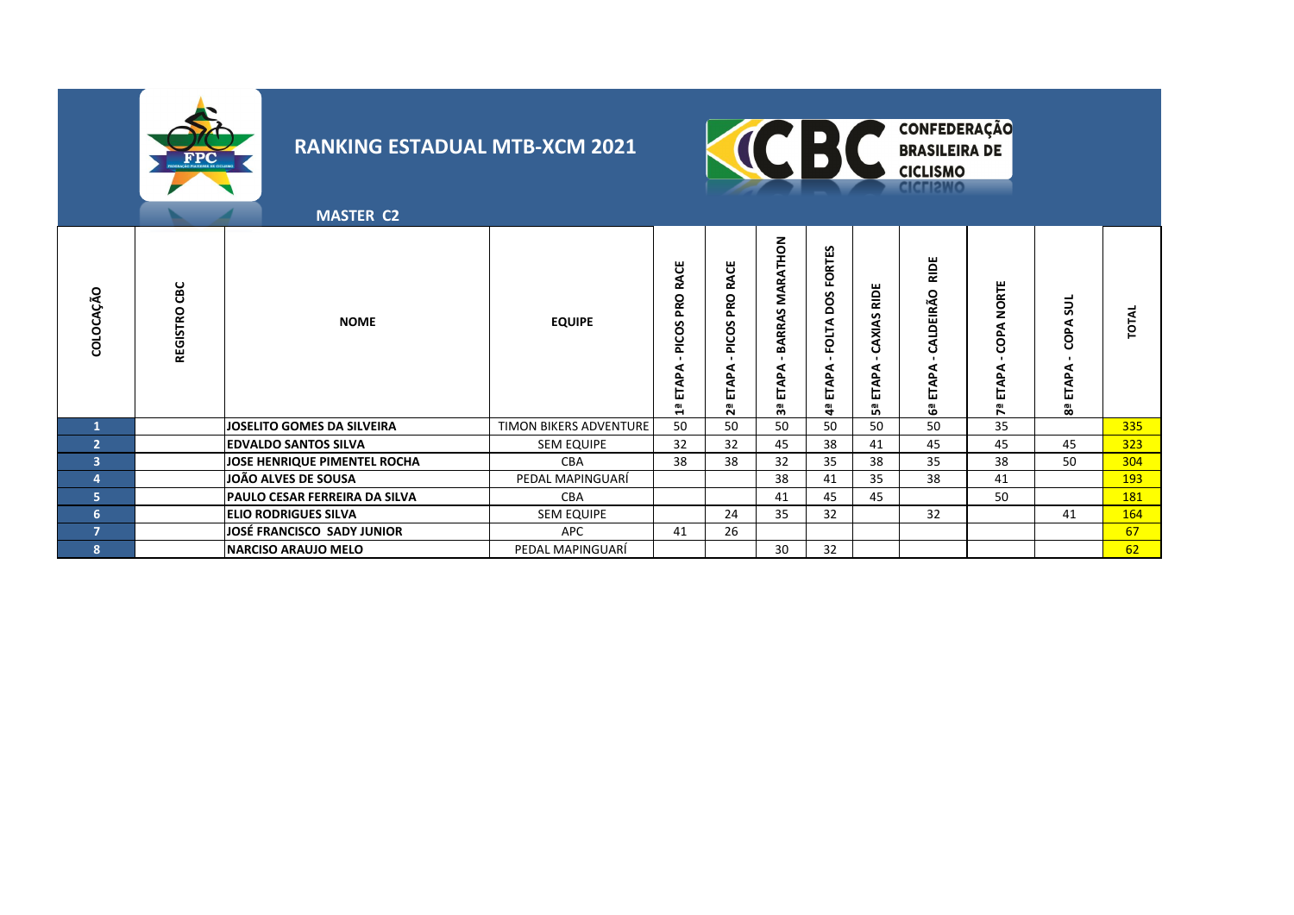



**MASTER C2**

| COLOCAÇÃO              | CBC<br>REGISTRO | <b>NOME</b>                       | <b>EQUIPE</b>          | <b>RACE</b><br><b>PRO</b><br>PICOS<br>ETAPA<br>۵Ē | RACE<br><b>Dad</b><br>PICOS<br>ą<br>Е<br>2ª | <b>ATHON</b><br><b>MAR</b><br>S<br>RRA<br>≃<br>c<br>⋖<br>ш<br>్లి | S<br>FORTE!<br>pos<br><b>FOLTA</b><br>ETAPA<br>$\ddot{\mathbf{a}}$ | RIDE<br>S<br><b>AXIA</b><br>c<br>₹<br>ᆸ<br>ωı<br>D. | RIDE<br>o<br>বে<br>๔<br>靣<br>iu<br>Ö | <b>NORTE</b><br>COPA<br>준<br>ব<br>Н<br>ᇍ | 5<br>COPA<br>⊡<br>8ª | <b>TOTAL</b> |
|------------------------|-----------------|-----------------------------------|------------------------|---------------------------------------------------|---------------------------------------------|-------------------------------------------------------------------|--------------------------------------------------------------------|-----------------------------------------------------|--------------------------------------|------------------------------------------|----------------------|--------------|
|                        |                 | <b>JOSELITO GOMES DA SILVEIRA</b> | TIMON BIKERS ADVENTURE | 50                                                | 50                                          | 50                                                                | 50                                                                 | 50                                                  | 50                                   | 35                                       |                      | 335          |
| $\overline{2}$         |                 | <b>EDVALDO SANTOS SILVA</b>       | <b>SEM EQUIPE</b>      | 32                                                | 32                                          | 45                                                                | 38                                                                 | 41                                                  | 45                                   | 45                                       | 45                   | 323          |
| $\mathbf{3}^{\dagger}$ |                 | JOSE HENRIQUE PIMENTEL ROCHA      | <b>CBA</b>             | 38                                                | 38                                          | 32                                                                | 35                                                                 | 38                                                  | 35                                   | 38                                       | 50                   | 304          |
| 4                      |                 | JOÃO ALVES DE SOUSA               | PEDAL MAPINGUARI       |                                                   |                                             | 38                                                                | 41                                                                 | 35                                                  | 38                                   | 41                                       |                      | 193          |
| 5.                     |                 | PAULO CESAR FERREIRA DA SILVA     | CBA                    |                                                   |                                             | 41                                                                | 45                                                                 | 45                                                  |                                      | 50                                       |                      | 181          |
| 6                      |                 | <b>ELIO RODRIGUES SILVA</b>       | <b>SEM EQUIPE</b>      |                                                   | 24                                          | 35                                                                | 32                                                                 |                                                     | 32                                   |                                          | 41                   | 164          |
| $\overline{ }$         |                 | JOSÉ FRANCISCO SADY JUNIOR        | <b>APC</b>             | 41                                                | 26                                          |                                                                   |                                                                    |                                                     |                                      |                                          |                      | 67           |
| 8                      |                 | <b>NARCISO ARAUJO MELO</b>        | PEDAL MAPINGUARÍ       |                                                   |                                             | 30                                                                | 32                                                                 |                                                     |                                      |                                          |                      | 62           |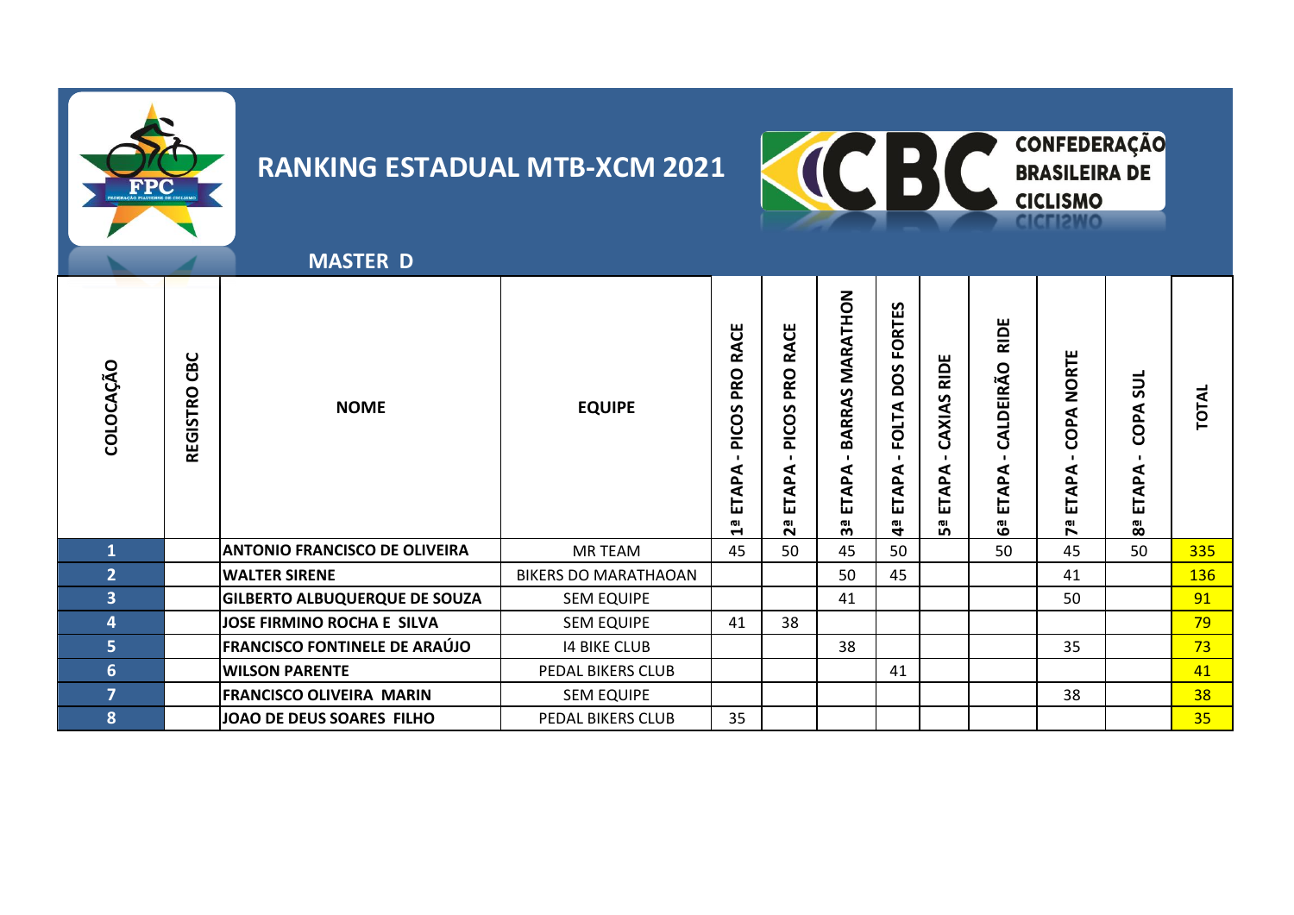



**MASTER D**

| COLOCAÇÃO               | CBC<br><b>REGISTRO</b> | <b>NOME</b>                          | <b>EQUIPE</b>               | <b>RACE</b><br><b>PRO</b><br>ທ<br>Ö<br>E<br>⋖<br>غ<br>旵<br>ωı<br>4 | <b>RACE</b><br>PRO I<br>PICOS I<br>ETAPA<br>$2^{\overline{a}}$ | BARRAS MARATHON<br>ETAPA<br>ၛၟ | S<br>RTE <sub>1</sub><br><u>요</u><br>S<br>Ö<br><b>FOLTA</b><br>⋖<br>Q,<br>⋖<br>⊢<br>ш<br>$\mathbf{a}$ | <b>RIDE</b><br>CAXIAS<br>ETAPA<br>ωı<br>ഗ | <b>RIDE</b><br>CALDEIRÃO<br>ETAPA<br>မြိ | NORTE<br>COPA<br>ETAPA<br><b>Pa</b> | <b>SUL</b><br>COPA<br>ETAPA<br>$\overline{\mathbf{g}}$ | <b>TOTAL</b> |
|-------------------------|------------------------|--------------------------------------|-----------------------------|--------------------------------------------------------------------|----------------------------------------------------------------|--------------------------------|-------------------------------------------------------------------------------------------------------|-------------------------------------------|------------------------------------------|-------------------------------------|--------------------------------------------------------|--------------|
| $\mathbf 1$             |                        | <b>ANTONIO FRANCISCO DE OLIVEIRA</b> | <b>MR TEAM</b>              | 45                                                                 | 50                                                             | 45                             | 50                                                                                                    |                                           | 50                                       | 45                                  | 50                                                     | 335          |
| $\overline{2}$          |                        | <b>WALTER SIRENE</b>                 | <b>BIKERS DO MARATHAOAN</b> |                                                                    |                                                                | 50                             | 45                                                                                                    |                                           |                                          | 41                                  |                                                        | <b>136</b>   |
| $\overline{\mathbf{3}}$ |                        | <b>GILBERTO ALBUQUERQUE DE SOUZA</b> | <b>SEM EQUIPE</b>           |                                                                    |                                                                | 41                             |                                                                                                       |                                           |                                          | 50                                  |                                                        | 91           |
| 4                       |                        | <b>JOSE FIRMINO ROCHA E SILVA</b>    | <b>SEM EQUIPE</b>           | 41                                                                 | 38                                                             |                                |                                                                                                       |                                           |                                          |                                     |                                                        | 79           |
| 5 <sup>1</sup>          |                        | <b>FRANCISCO FONTINELE DE ARAÚJO</b> | <b>14 BIKE CLUB</b>         |                                                                    |                                                                | 38                             |                                                                                                       |                                           |                                          | 35                                  |                                                        | 73           |
| $6 \overline{6}$        |                        | <b>WILSON PARENTE</b>                | PEDAL BIKERS CLUB           |                                                                    |                                                                |                                | 41                                                                                                    |                                           |                                          |                                     |                                                        | 41           |
| $\overline{ }$          |                        | <b>FRANCISCO OLIVEIRA MARIN</b>      | <b>SEM EQUIPE</b>           |                                                                    |                                                                |                                |                                                                                                       |                                           |                                          | 38                                  |                                                        | 38           |
| 8                       |                        | JOAO DE DEUS SOARES FILHO            | PEDAL BIKERS CLUB           | 35                                                                 |                                                                |                                |                                                                                                       |                                           |                                          |                                     |                                                        | 35           |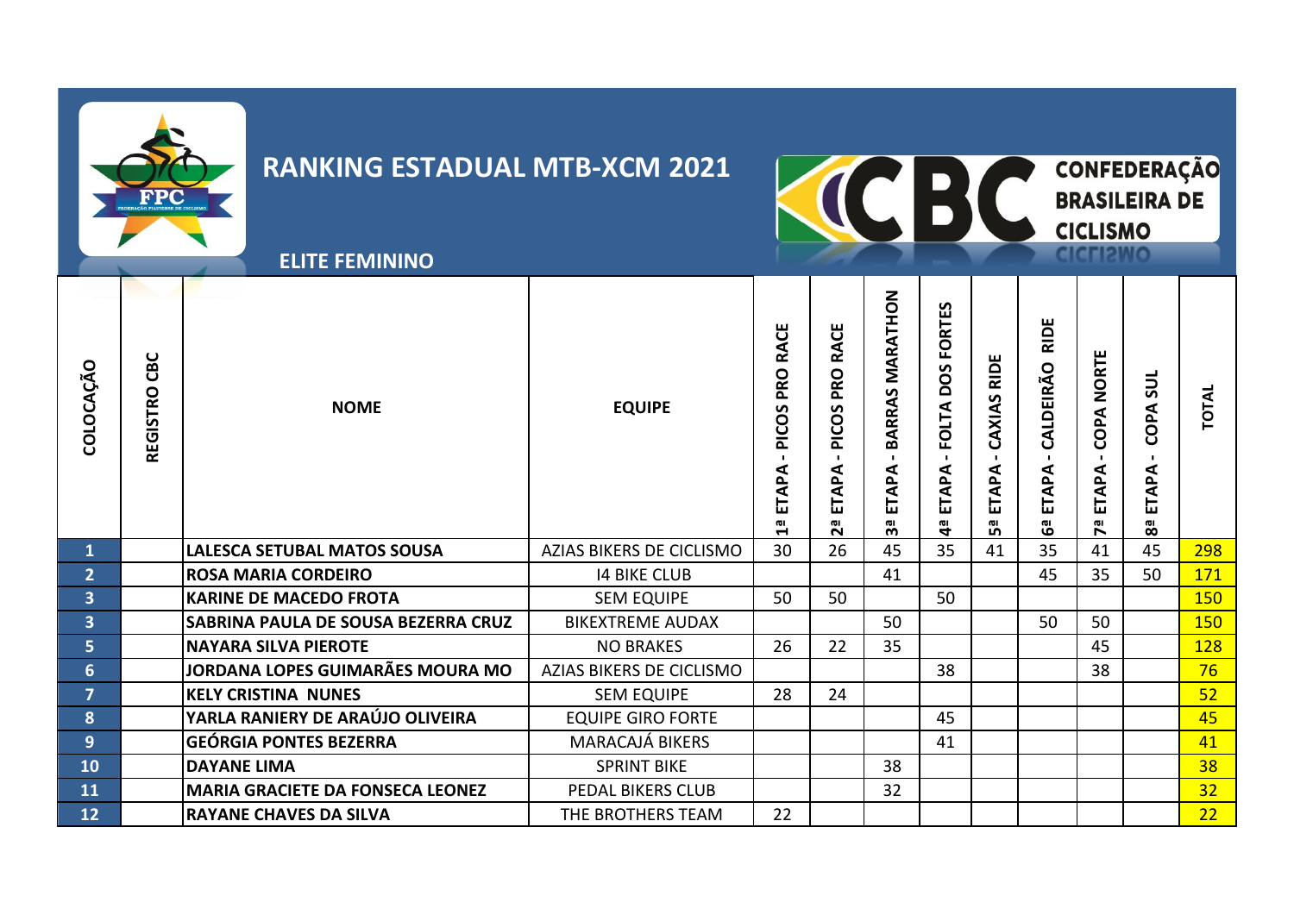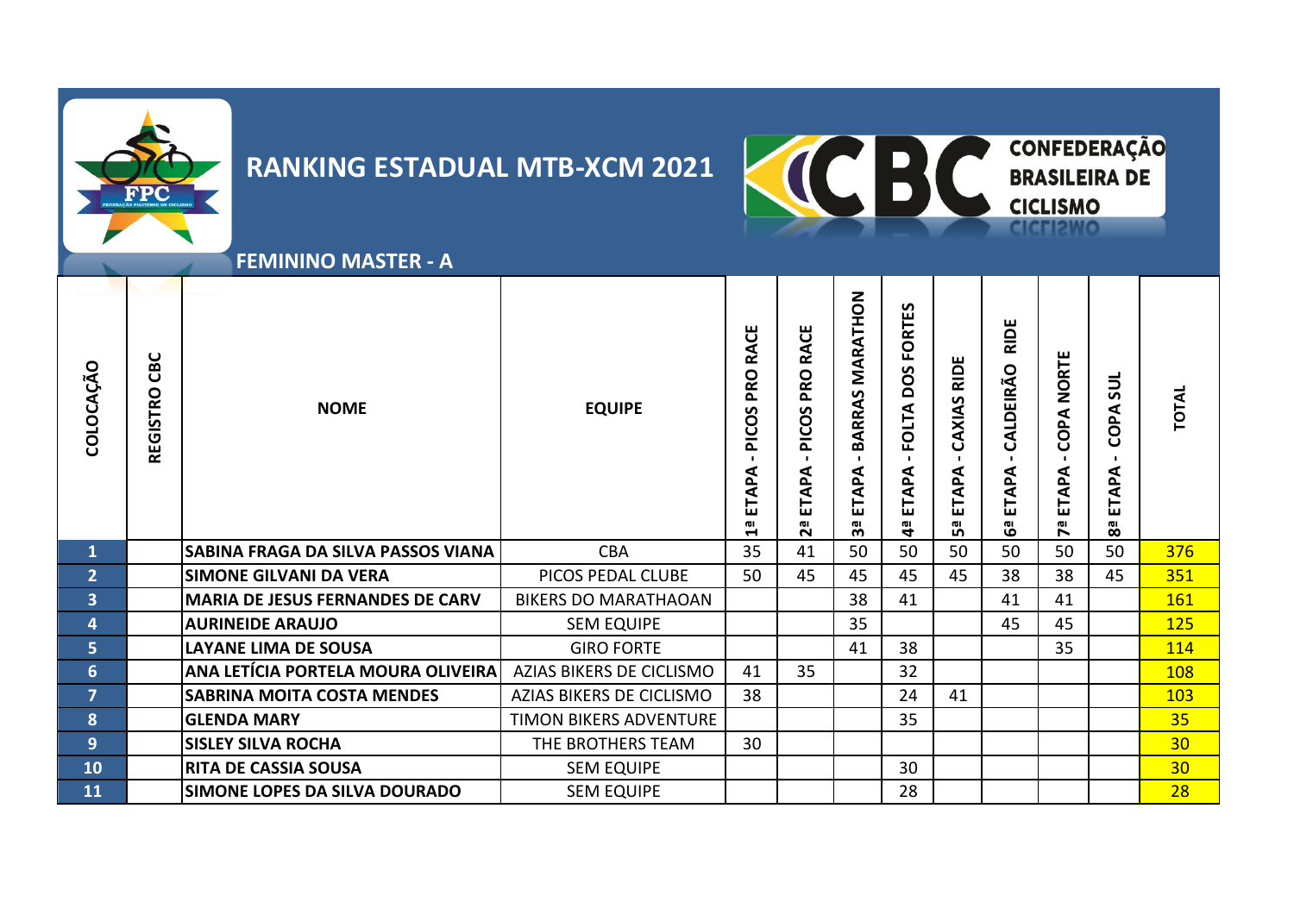



 **FEMININO MASTER - A**

| COLOCAÇÃO               | CBC<br><b>REGISTRO</b> | <b>NOME</b>                             | <b>EQUIPE</b>               | <b>RACE</b><br><b>PRO</b><br>PICOS<br>ETAPA<br>$\mathbf{u}$ | PRO RACE<br>PICOS<br>$\mathbf{L}$<br>ETAPA<br>Σã | MARATHON<br><b>BARRAS</b><br>$\mathbf{L}$<br>ETAPA<br><u>က</u> ိ | <b>FORTES</b><br>DOS<br><b>FOLTA</b><br>ETAPA<br>$\mathbf{a}$ | <b>RIDE</b><br>CAXIAS<br>ETAPA<br>5a | <b>RIDE</b><br>CALDEIRÃO<br>ETAPA<br>မြိ | <b>NORTE</b><br>COPA<br>ETAPA<br><b>Pd</b> | <b>SUL</b><br>COPA<br>ETAPA<br>8 | <b>TOTAL</b>    |
|-------------------------|------------------------|-----------------------------------------|-----------------------------|-------------------------------------------------------------|--------------------------------------------------|------------------------------------------------------------------|---------------------------------------------------------------|--------------------------------------|------------------------------------------|--------------------------------------------|----------------------------------|-----------------|
| $\mathbf{1}$            |                        | SABINA FRAGA DA SILVA PASSOS VIANA      | <b>CBA</b>                  | 35                                                          | 41                                               | 50                                                               | 50                                                            | 50                                   | 50                                       | 50                                         | 50                               | 376             |
| $\overline{2}$          |                        | <b>SIMONE GILVANI DA VERA</b>           | PICOS PEDAL CLUBE           | 50                                                          | 45                                               | 45                                                               | 45                                                            | 45                                   | 38                                       | 38                                         | 45                               | 351             |
| $\overline{\mathbf{3}}$ |                        | <b>MARIA DE JESUS FERNANDES DE CARV</b> | <b>BIKERS DO MARATHAOAN</b> |                                                             |                                                  | 38                                                               | 41                                                            |                                      | 41                                       | 41                                         |                                  | 161             |
| 4                       |                        | <b>AURINEIDE ARAUJO</b>                 | <b>SEM EQUIPE</b>           |                                                             |                                                  | 35                                                               |                                                               |                                      | 45                                       | 45                                         |                                  | <b>125</b>      |
| 5 <sup>1</sup>          |                        | <b>LAYANE LIMA DE SOUSA</b>             | <b>GIRO FORTE</b>           |                                                             |                                                  | 41                                                               | 38                                                            |                                      |                                          | 35                                         |                                  | 114             |
| $6\phantom{1}$          |                        | ANA LETÍCIA PORTELA MOURA OLIVEIRA      | AZIAS BIKERS DE CICLISMO    | 41                                                          | 35                                               |                                                                  | 32                                                            |                                      |                                          |                                            |                                  | 108             |
| $\overline{7}$          |                        | <b>SABRINA MOITA COSTA MENDES</b>       | AZIAS BIKERS DE CICLISMO    | 38                                                          |                                                  |                                                                  | 24                                                            | 41                                   |                                          |                                            |                                  | <b>103</b>      |
| 8                       |                        | <b>GLENDA MARY</b>                      | TIMON BIKERS ADVENTURE      |                                                             |                                                  |                                                                  | 35                                                            |                                      |                                          |                                            |                                  | 35              |
| 9 <sup>°</sup>          |                        | <b>SISLEY SILVA ROCHA</b>               | THE BROTHERS TEAM           | 30                                                          |                                                  |                                                                  |                                                               |                                      |                                          |                                            |                                  | 30 <sub>2</sub> |
| 10                      |                        | <b>RITA DE CASSIA SOUSA</b>             | <b>SEM EQUIPE</b>           |                                                             |                                                  |                                                                  | 30                                                            |                                      |                                          |                                            |                                  | 30 <sub>2</sub> |
| 11                      |                        | <b>SIMONE LOPES DA SILVA DOURADO</b>    | <b>SEM EQUIPE</b>           |                                                             |                                                  |                                                                  | 28                                                            |                                      |                                          |                                            |                                  | 28              |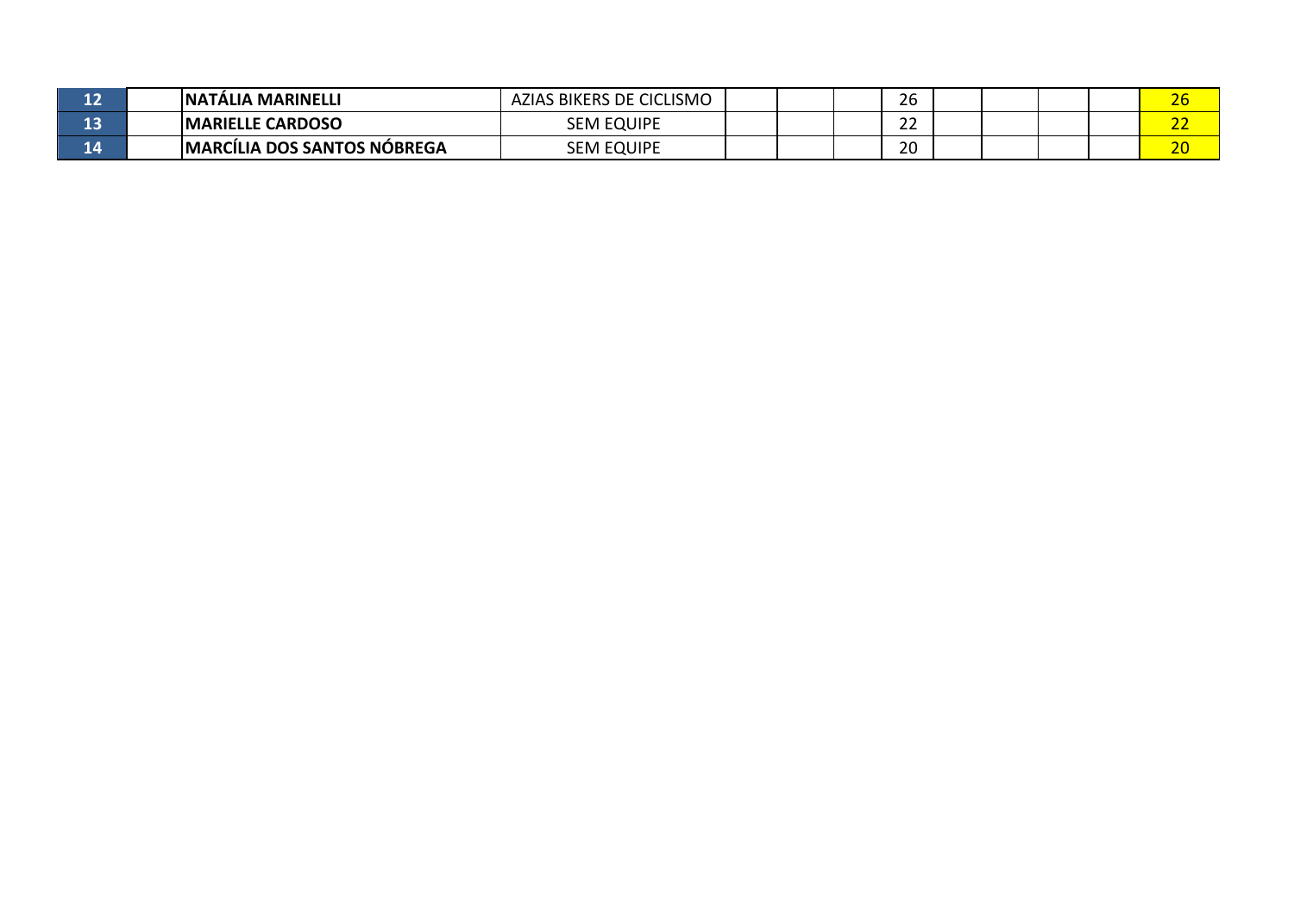| 12 | <b>INATALIA MARINELLI</b>           | AZIAS BIKERS DE CICLISMO |  | 26        |  |  | $\sim$ $\sim$<br>ΖU  |
|----|-------------------------------------|--------------------------|--|-----------|--|--|----------------------|
| 13 | <b>IMARIELLE CARDOSO</b>            | <b>SEM EQUIPE</b>        |  | --<br>ے ے |  |  | $\sim$<br><u>. .</u> |
| 14 | <b>IMARCILIA DOS SANTOS NÓBREGA</b> | <b>SEM EQUIPE</b>        |  | 20        |  |  | $\sim$ $\sim$<br>ΔU  |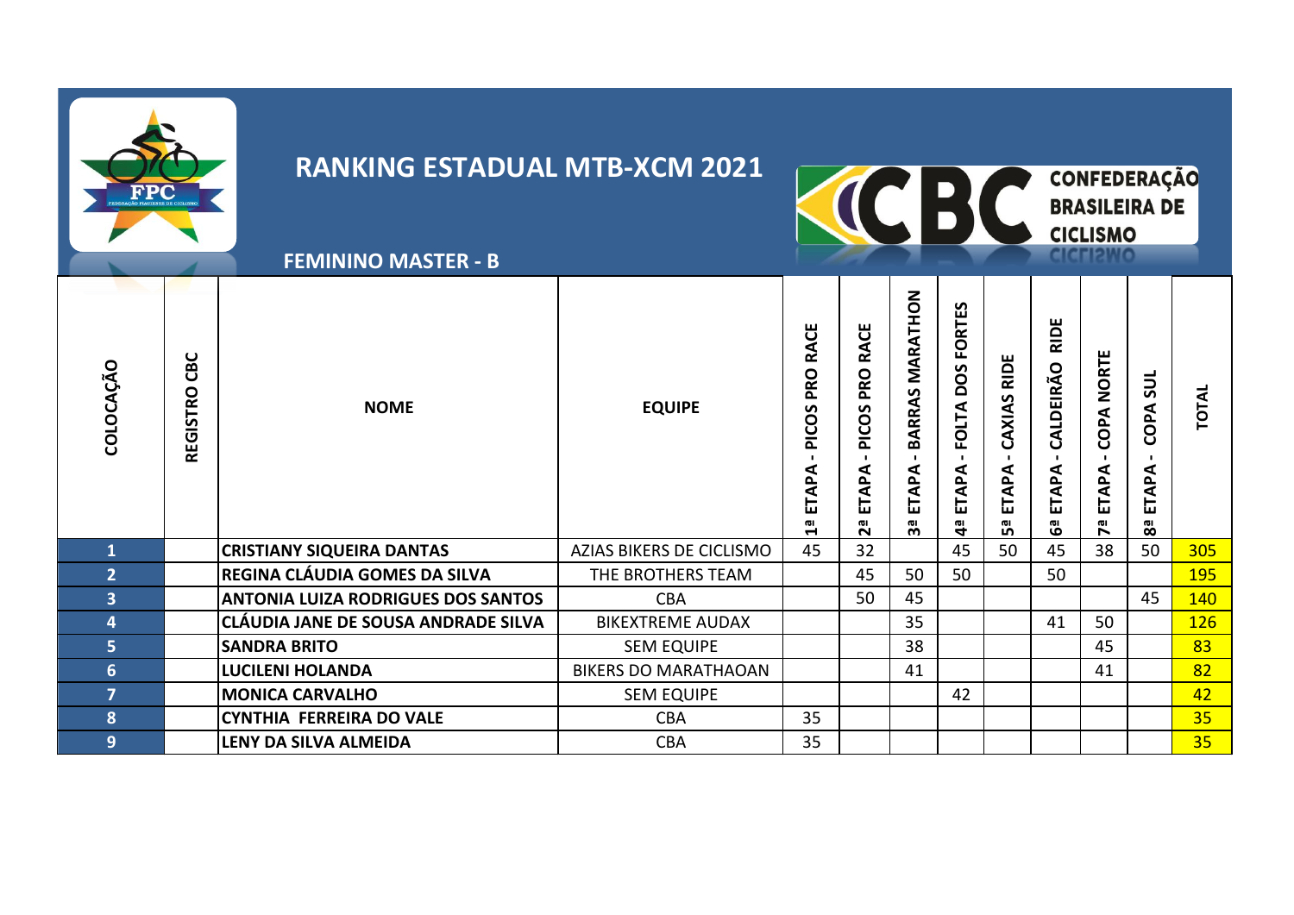